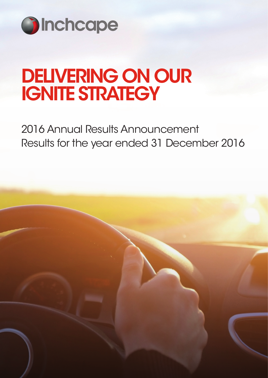

# DELIVERING ON OUR IGNITE STRATEGY

2016 Annual Results Announcement Results for the year ended 31 December 2016

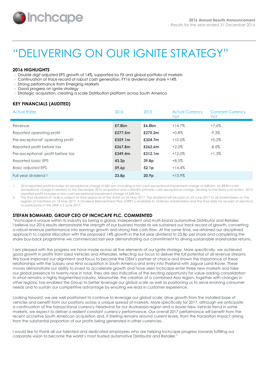

# "DELIVERING ON OUR IGNITE STRATEGY"

# **2016 HIGHLIGHTS**

- Double digit adjusted EPS growth of 14%, supported by FX and global portfolio of markets
- Continuation of track record of robust cash generation, FY16 dividend per share +14%
- Strong performance from Emerging Markets
- Good progress on Ignite strategy
- Strategic acquisition, creating a scale Distribution platform across South America

# **KEY FINANCIALS (AUDITED)**

| <b>Actual Rates</b>               | 2016              | 2015              | <b>Actual Currency</b><br>YoY | <b>Constant Currency</b><br>YoY |
|-----------------------------------|-------------------|-------------------|-------------------------------|---------------------------------|
| Revenue                           | £7.8bn            | £6.8bn            | $+14.7%$                      | +7.6%                           |
| Reported operating profit         | £277.5m           | £275.2m           | $+0.8\%$                      | $-9.3\%$                        |
| Pre-exceptional operating profit  | £359.1m           | £324.7m           | $+10.6%$                      | $+0.2%$                         |
| Reported profit before tax        | £267.8m           | £262.6m           | $+2.0\%$                      | $-8.5%$                         |
| Pre-exceptional profit before tax | £349.4m           | £312.1m           | $+12.0%$                      | $+1.3\%$                        |
| Reported basic EPS                | 43.2 <sub>p</sub> | 39.8p             | $+8.5\%$                      |                                 |
| <b>Basic adjusted EPS</b>         | 59.6p             | 52.1 <sub>p</sub> | $+14.4%$                      |                                 |
| Full year dividend <sup>2</sup>   | 23.8 <sub>D</sub> | 20.9 <sub>D</sub> | $+13.9%$                      |                                 |

1. 2016 reported profit includes an exceptional charge of £81.6m, including a non-cash exceptional impairment charge of £48.0m, an £8.8m cash exceptional charge in relation to the December 2016 acquisition and a £24.8m primarily cash exceptional charge, relating to the fixed cost review. 2015 reported profit includes a non-cash exceptional impairment charge of £49.5m.

2. The final dividend of 16.8p is subject to final approval at the AGM on 25 May 2017. The dividend will be paid on 23 June 2017 to all shareholders on the register of members on 19 May 2017. A Dividend Reinvestment Plan (DRIP) is available to Ordinary shareholders and the final date for receipt of elections to participate in the DRIP is 2 June 2017.

# **STEFAN BOMHARD, GROUP CEO OF INCHCAPE PLC, COMMENTED**

"Inchcape is unique within its industry by being a global, independent and multi-brand automotive Distributor and Retailer. I believe our 2016 results demonstrate the strength of our business model as we sustained our track record of growth, converting a robust revenue performance into earnings growth and strong free cash flow. At the same time, we retained our disciplined approach to capital allocation with the proposed 14% growth in the full year dividend to 23.8p per share and completing the share buy-back programme we commenced last year demonstrating our commitment to driving sustainable shareholder returns.

I am pleased with the progress we have made across all five elements of our Ignite strategy. More specifically, we achieved good growth in profits from Used Vehicles and Aftersales, reflecting our focus to deliver the full potential of all revenue streams. We have improved our alignment and focus to become the OEM's partner of choice and shown the importance of these relationships with the Subaru and Hino acquisition in South America and entry into Thailand with Jaguar Land Rover. These moves demonstrate our ability to invest to accelerate growth and have seen Inchcape enter three new markets and take our global presence to twenty-nine in total. They are also indicative of the exciting opportunity for value-adding consolidation in what remains a highly fragmented industry. Meanwhile, the creation of a combined Asia region, together with changes in other regions, has enabled the Group to better leverage our global scale as well as positioning us to serve evolving consumer needs and to sustain our competitive advantage by ensuring we lead in customer experience.

Looking forward, we are well positioned to continue to leverage our global scale, drive growth from the installed base of vehicles and benefit from our positions across a unique spread of markets. More specifically for 2017, although we anticipate a continuation of the transactional currency headwind for our Australasia region and a slower New Vehicle trend in some markets, we expect to deliver a resilient constant currency performance. Our overall 2017 performance will benefit from the recent accretive South American acquisition and, if Sterling remains around current levels, from the translation impact arising from the substantial proportion of our profits being generated in other currencies.

I would like to thank all our talented and dedicated employees who are helping Inchcape progress towards fulfilling our corporate vision to become the world's most trusted automotive Distributor and Retailer."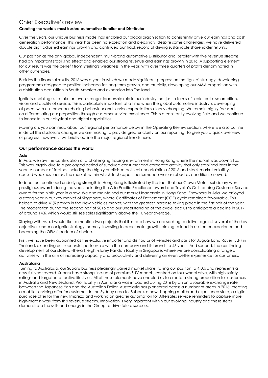# Chief Executive's review

# **Creating the world's most trusted automotive Retailer and Distributor**

Over the years, our unique business model has enabled our global organisation to consistently drive our earnings and cash generation performance. This year has been no exception and pleasingly, despite some challenges, we have delivered double digit adjusted earnings growth and continued our track record of driving sustainable shareholder returns.

Our position as the only global, independent, multi-brand automotive Distributor and Retailer with five revenue streams had an important stabilising effect and enabled our strong revenue and earnings growth in 2016. A supporting element for our results was the benefit from Sterling's weakness in the year, with over three quarters of profits denominated in other currencies.

Besides the financial results, 2016 was a year in which we made significant progress on the 'Ignite' strategy, developing programmes designed to position Inchcape for long-term growth, and crucially, developing our M&A proposition with a distribution acquisition in South America and expansion into Thailand.

Ignite is enabling us to take an even stronger leadership role in our industry, not just in terms of scale, but also ambition, vision and quality of service. This is particularly important at a time when the global automotive industry is developing at pace, with customer purchasing behaviour and service expectations clearly changing. We remain highly focused on differentiating our proposition through customer service excellence. This is a constantly evolving field and we continue to innovate in our physical and digital capabilities.

Moving on, you can read about our regional performance below in the Operating Review section, where we also outline in detail the disclosure changes we are making to provide greater clarity on our reporting. To give you a quick overview of progress, however, I will briefly outline the major regional trends here.

# **Our performance across the world**

# **Asia**

In Asia, we saw the continuation of a challenging trading environment in Hong Kong where the market was down 21%. This was largely due to a prolonged period of subdued consumer and corporate activity that only stabilised later in the year. A number of factors, including the highly publicised political uncertainties of 2016 and stock market volatility, caused weakness across the market, within which Inchcape's performance was as robust as conditions allowed.

Indeed, our continued underlying strength in Hong Kong is illustrated by the fact that our Crown Motors subsidiary won prestigious awards during the year, including the Asia Pacific Excellence award and Toyota's Outstanding Customer Service award for the ninth year in a row. We also maintained our market leadership in Hong Kong. Elsewhere in Asia, we enjoyed a strong year in our key market of Singapore, where Certificates of Entitlement (COE) cycle remained favourable. This helped to drive 41% growth in the New Vehicles market, with the greatest increase taking place in the first half of the year. The moderation during the second half of 2016 and our understanding of the cycle lead us to anticipate a decline in 2017 of around 14%, which would still see sales significantly above the 10 year average.

Staying with Asia, I would like to mention two projects that illustrate how we are seeking to deliver against several of the key objectives under our Ignite strategy, namely, investing to accelerate growth, aiming to lead in customer experience and becoming the OEMs' partner of choice.

First, we have been appointed as the exclusive importer and distributor of vehicles and parts for Jaguar Land Rover (JLR) in Thailand, extending our successful partnership with the company and its brands to 46 years. And second, the continuing development of our state-of-the-art, eight-storey Pandan facility in Singapore, where we are consolidating a range of activities with the aim of increasing capacity and productivity and delivering an even better experience for customers.

# **Australasia**

Turning to Australasia, our Subaru business pleasingly gained market share, taking our position to 4.0% and represents a new full year record. Subaru has a strong line-up of premium SUV models, centred on four wheel drive, with high safety ratings and targeted at active lifestyles. All of these elements have enabled us to create a strong proposition for customers in Australia and New Zealand. Profitability in Australasia was impacted during 2016 by an unfavourable exchange rate between the Japanese Yen and the Australian Dollar. Australasia has pioneered across a number of areas in 2016: creating a mobile servicing offer for customers in the Sydney area for Subaru, a new shopping mall brand experience store, a digital purchase offer for the new Impreza and working on greater automation for Aftersales service reminders to capture more high-margin work from this revenue stream. Innovation is very important within our evolving industry and these steps demonstrate the skills and energy in the Group to drive future success.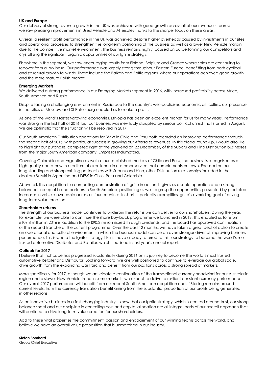#### **UK and Europe**

Our delivery of strong revenue growth in the UK was achieved with good growth across all of our revenue streams; we saw pleasing improvements in Used Vehicle and Aftersales thanks to the sharper focus on these areas.

Overall, a resilient profit performance in the UK was achieved despite higher overheads caused by investments in our sites and operational processes to strengthen the long-term positioning of the business as well as a lower New Vehicle margin due to the competitive market environment. The business remains highly focused on outperforming our competitors and crystallising the significant organic opportunities of our Ignite strategy.

Elsewhere in the segment, we saw encouraging results from Finland, Belgium and Greece where sales are continuing to recover from a low base. Our performance was largely strong throughout Eastern Europe, benefitting from both cyclical and structural growth tailwinds. These include the Balkan and Baltic regions, where our operations achieved good growth and the more mature Polish market.

#### **Emerging Markets**

We delivered a strong performance in our Emerging Markets segment in 2016, with increased profitability across Africa, South America and Russia.

Despite facing a challenging environment in Russia due to the country's well-publicised economic difficulties, our presence in the cities of Moscow and St Petersburg enabled us to make a profit.

As one of the world's fastest-growing economies, Ethiopia has been an excellent market for us for many years. Performance was strong in the first half of 2016, but our business was inevitably disrupted by serious political unrest that started in August. We are optimistic that the situation will be resolved in 2017.

Our South American Distribution operations for BMW in Chile and Peru both recorded an improving performance through the second half of 2016, with particular success in growing our Aftersales revenues. In this global round-up, I would also like to highlight our purchase, completed right at the year-end on 22 December, of the Subaru and Hino Distribution businesses from the major South American company, Empresas Indumotora.

Covering Colombia and Argentina as well as our established markets of Chile and Peru, the business is recognised as a high-quality operator with a culture of excellence in customer service that complements our own. Focused on our long-standing and strong existing partnerships with Subaru and Hino, other Distribution relationships included in the deal are Suzuki in Argentina and DFSK in Chile, Peru and Colombia.

Above all, this acquisition is a compelling demonstration of Ignite in action. It gives us a scale operation and a strong, balanced line-up of brand partners in South America, positioning us well to grasp the opportunities presented by predicted increases in vehicle-ownership across all four countries. In short, it perfectly exemplifies Ignite's overriding goal of driving long-term value creation.

# **Shareholder returns**

The strength of our business model continues to underpin the returns we can deliver to our shareholders. During the year, for example, we were able to continue the share buy-back programme we launched in 2013. This enabled us to return £109.8 million in 2016 in addition to the £90.2 million issued through dividends, and the board has approved continuation of the second tranche of the current programme. Over the past 12 months, we have taken a great deal of action to create an operational and cultural environment in which the business model can be an even stronger driver of improving business performance. This is where the Ignite strategy fits in. I have already referred to this, our strategy to become the world's most trusted automotive Distributor and Retailer, which I outlined in last year's annual report.

# **Outlook for 2017**

I believe that Inchcape has progressed substantially during 2016 on its journey to become the world's most trusted automotive Retailer and Distributor. Looking forward, we are well positioned to continue to leverage our global scale, drive growth from the expanding Car Parc and benefit from our positions across a strong spread of markets.

More specifically for 2017, although we anticipate a continuation of the transactional currency headwind for our Australasia region and a slower New Vehicle trend in some markets, we expect to deliver a resilient constant currency performance. Our overall 2017 performance will benefit from our recent South American acquisition and, if Sterling remains around current levels, from the currency translation benefit arising from the substantial proportion of our profits being generated in other regions.

As an innovative business in a fast changing industry, I know that our Ignite strategy, which is centred around trust, our strong balance sheet and our discipline in controlling cost and capital allocation are all integral parts of our overall approach that will continue to drive long-term value creation for our shareholders.

Add to these vital properties the commitment, passion and engagement of our winning teams across the world, and I believe we have an overall value proposition that is unmatched in our industry.

**Stefan Bomhard** Group Chief Executive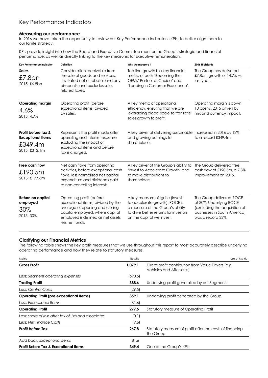# Key Performance Indicators

# **Measuring our performance**

In 2016 we have taken the opportunity to review our Key Performance Indicators (KPIs) to better align them to our Ignite strategy.

KPIs provide insight into how the Board and Executive Committee monitor the Group's strategic and financial performance, as well as directly linking to the key measures for Executive remuneration.

| Key Performance Indicator                                                   | <b>Definition</b>                                                                                                                                                                          | Why we measure it                                                                                                                                                           | 2016 Highlights                                                                                                                           |
|-----------------------------------------------------------------------------|--------------------------------------------------------------------------------------------------------------------------------------------------------------------------------------------|-----------------------------------------------------------------------------------------------------------------------------------------------------------------------------|-------------------------------------------------------------------------------------------------------------------------------------------|
| <b>Sales</b><br>£7.8bn<br>2015: £6.8bn                                      | Consideration receivable from<br>the sale of goods and services.<br>It is stated net of rebates and any<br>discounts, and excludes sales<br>related taxes.                                 | Top-line growth is a key financial<br>metric of both 'Becoming the<br>OEMs' Partner of Choice' and<br>'Leading in Customer Experience'.                                     | The Group has delivered<br>£7.8bn, growth of 14.7% vs.<br>last year.                                                                      |
| <b>Operating margin</b><br>4.6%<br>2015: 4.7%                               | Operating profit (before<br>exceptional items) divided<br>by sales.                                                                                                                        | A key metric of operational<br>efficiency, ensuring that we are<br>leveraging global scale to translate<br>sales growth to profit.                                          | Operating margin is down<br>10 bps vs. 2015 driven by<br>mix and currency impact.                                                         |
| Profit before tax &<br><b>Exceptional Items</b><br>£349.4m<br>2015: £312.1m | Represents the profit made after<br>operating and interest expense<br>excluding the impact of<br>exceptional items and before<br>tax is charged.                                           | A key driver of delivering sustainable Increased in 2016 by 12%<br>and growing earnings to<br>shareholders.                                                                 | to a record £349.4m.                                                                                                                      |
| Free cash flow<br>£190.5m<br>2015: £177.6m                                  | Net cash flows from operating<br>activities, before exceptional cash<br>flows, less normalised net capital<br>expenditure and dividends paid<br>to non-controlling interests.              | A key driver of the Group's ability to<br>'Invest to Accelerate Growth' and<br>to make distributions to<br>shareholders.                                                    | The Group delivered free<br>cash flow of £190.5m, a 7.3%<br>improvement on 2015.                                                          |
| Return on capital<br>employed<br>30%<br>2015: 30%                           | Operating profit (before<br>exceptional items) divided by the<br>average of opening and closing<br>capital employed, where capital<br>employed is defined as net assets<br>less net funds. | A key measure of Ignite (invest<br>to accelerate growth), ROCE is<br>a measure of the Group's ability<br>to drive better returns for investors<br>on the capital we invest. | The Group delivered ROCE<br>of 30%. Underlying ROCE<br>(excluding the acquisition of<br>businesses in South America)<br>was a record 33%. |

# **Clarifying our Financial Metrics**

The following table shows the key profit measures that we use throughout this report to most accurately describe underlying operating performance and how they relate to statutory measures.

| Metric                                              | Results | Use of Metric                                                                          |
|-----------------------------------------------------|---------|----------------------------------------------------------------------------------------|
| <b>Gross Profit</b>                                 | 1,079.1 | Direct profit contribution from Value Drivers (e.g.<br><b>Vehicles and Aftersales)</b> |
| Less: Segment operating expenses                    | (690.5) |                                                                                        |
| <b>Trading Profit</b>                               | 388.6   | Underlying profit generated by our Segments                                            |
| Less: Central Costs                                 | (29.5)  |                                                                                        |
| <b>Operating Profit (pre exceptional Items)</b>     | 359.1   | Underlying profit generated by the Group                                               |
| Less: Exceptional Items                             | (81.6)  |                                                                                        |
| <b>Operating Profit</b>                             | 277.5   | Statutory measure of Operating Profit                                                  |
| Less: share of loss after tax of JVs and associates | (0.1)   |                                                                                        |
| Less: Net Finance Costs                             | (9.6)   |                                                                                        |
| <b>Profit before Tax</b>                            | 267.8   | Statutory measure of profit after the costs of financing<br>the Group                  |
| Add back: Exceptional Items                         | 81.6    |                                                                                        |
| <b>Profit Before Tax &amp; Exceptional Items</b>    | 349.4   | One of the Group's KPIs                                                                |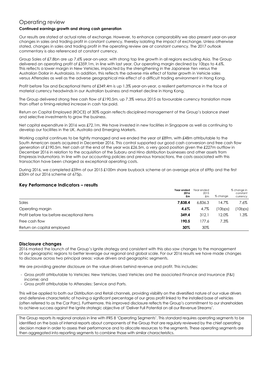# Operating review

# **Continued earnings growth and strong cash generation**

Our results are stated at actual rates of exchange. However, to enhance comparability we also present year-on-year changes in sales and trading profit in constant currency, thereby isolating the impact of exchange. Unless otherwise stated, changes in sales and trading profit in the operating review are at constant currency. The 2017 outlook commentary is also referenced at constant currency.

Group Sales of £7.8bn are up 7.6% year-on-year, with strong top line growth in all regions excluding Asia. The Group delivered an operating profit of £359.1m, in line with last year. Our operating margin declined by 10bps to 4.6%. This reflects a lower margin in New Vehicles, impacted by the strengthening in the Japanese Yen versus the Australian Dollar in Australasia. In addition, this reflects the adverse mix effect of faster growth in Vehicle sales versus Aftersales as well as the adverse geographical mix effect of a difficult trading environment in Hong Kong.

Profit before Tax and Exceptional Items of £349.4m is up 1.3% year-on-year, a resilient performance in the face of material currency headwinds in our Australian business and market decline in Hong Kong.

The Group delivered strong free cash flow of £190.5m, up 7.3% versus 2015 as favourable currency translation more than offset a timing-related increase in cash tax paid.

Return on Capital Employed (ROCE) of 30% again reflects disciplined management of the Group's balance sheet and selective investments to grow the business.

Net capital expenditure in 2016 was £72.1m. We have invested in new facilities in Singapore as well as continuing to develop our facilities in the UK, Australia and Emerging Markets.

Working capital continues to be tightly managed and we ended the year at £89m, with £48m attributable to the South American assets acquired in December 2016. This control supported our good cash conversion and free cash flow generation of £190.5m. Net cash at the end of the year was £26.5m, a very good position given the £227m outflow in December 2016 in relation to the acquisition of the Subaru and Hino distribution businesses and other assets from Empresas Indumotora. In line with our accounting policies and previous transactions, the costs associated with this transaction have been charged as exceptional operating costs.

During 2016, we completed £59m of our 2015 £100m share buyback scheme at an average price of 699p and the first £50m of our 2016 scheme at 675p.

# **Key Performance Indicators – results**

|                                            | Year ended<br>2016<br>£m | Year ended<br>2015<br>£m | % chanae | % change in<br>constant<br>currency |
|--------------------------------------------|--------------------------|--------------------------|----------|-------------------------------------|
| Sales                                      | 7.838.4                  | 6.836.3                  | 14.7%    | 7.6%                                |
| Operating margin                           | 4.6%                     | 4.7%                     | (10bps)  | (10bps)                             |
| Profit before tax before exceptional items | 349.4                    | 312.1                    | 12.0%    | 1.3%                                |
| Free cash flow                             | 190.5                    | 177.6                    | 7.3%     |                                     |
| Return on capital employed                 | 30%                      | 30%                      |          |                                     |

# **Disclosure changes**

2016 marked the launch of the Group's Ignite strategy and consistent with this also saw changes to the management of our geographic regions to better leverage our regional and global scale. For our 2016 results we have made changes to disclosure across two principal areas: value drivers and geographic segments.

We are providing greater disclosure on the value drivers behind revenue and profit. This includes:

- Gross profit attributable to Vehicles: New Vehicles, Used Vehicles and the associated Finance and Insurance (F&I) income; and
- Gross profit attributable to Aftersales: Service and Parts.

This will be applied to both our Distribution and Retail channels, providing visibility on the diversified nature of our value drivers and defensive characteristic of having a significant percentage of our gross profit linked to the installed base of vehicles (often referred to as the Car Parc). Furthermore, this improved disclosure reflects the Group's commitment to our shareholders to achieve success against the Ignite strategic objective of 'Deliver Full Potential on all our Revenue Streams'.

The Group reports its regional analysis in line with IFRS 8 'Operating Segments'. This standard requires operating segments to be identified on the basis of internal reports about components of the Group that are regularly reviewed by the chief operating decision maker in order to assess their performance and to allocate resources to the segments. These operating segments are then aggregated into reporting segments to combine those with similar characteristics.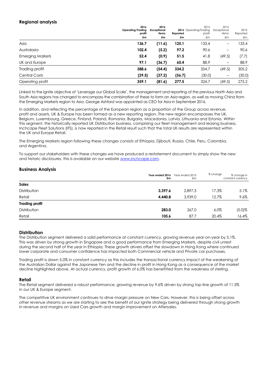# **Regional analysis**

|                         | 2016<br>Operating/Trading<br>profit<br>£m | 2016<br><b>Exceptional</b><br>items<br>£m | Reported<br>£m | 2015<br>2016 Operating/Trading<br>profit<br>£m | 2015<br>Exceptional<br>items<br>£m | 2015<br>Reported<br>£m |
|-------------------------|-------------------------------------------|-------------------------------------------|----------------|------------------------------------------------|------------------------------------|------------------------|
| Asia                    | 136.7                                     | (11.6)                                    | 125.1          | 133.4                                          | -                                  | 133.4                  |
| Australasia             | 102.4                                     | (5.2)                                     | 97.2           | 90.6                                           | $\qquad \qquad -$                  | 90.6                   |
| <b>Emerging Markets</b> | 52.4                                      | (0.9)                                     | 51.5           | 41.8                                           | (49.5)                             | (7.7)                  |
| UK and Europe           | 97.1                                      | (36.7)                                    | 60.4           | 88.9                                           | $\qquad \qquad -$                  | 88.9                   |
| Trading profit          | 388.6                                     | (54.4)                                    | 334.2          | 354.7                                          | (49.5)                             | 305.2                  |
| <b>Central Costs</b>    | (29.5)                                    | (27.2)                                    | (56.7)         | (30.0)                                         | $\qquad \qquad -$                  | (30.0)                 |
| Operating profit        | 359.1                                     | (81.6)                                    | 277.5          | 324.7                                          | (49.5)                             | 275.2                  |

Linked to the Ignite objective of 'Leverage our Global Scale', the management and reporting of the previous North Asia and South Asia regions has changed to encompass the combination of these to form an Asia region, as well as moving China from the Emerging Markets region to Asia. George Ashford was appointed as CEO for Asia in September 2016.

In addition, and reflecting the percentage of the European region as a proportion of the Group across revenue, profit and assets, UK & Europe has been formed as a new reporting region. The new region encompasses the UK, Belgium, Luxembourg, Greece, Finland, Poland, Romania, Bulgaria, Macedonia, Latvia, Lithuania and Estonia. Within this segment, the historically reported UK Distribution business, comprising our fleet management and leasing business, Inchcape Fleet Solutions (IFS), is now reported in the Retail result such that the total UK results are represented within the UK and Europe Retail.

The Emerging Markets region following these changes consists of Ethiopia, Djibouti, Russia, Chile, Peru, Colombia, and Argentina.

To support our stakeholders with these changes we have produced a restatement document to simply show the new and historic disclosures, this is available on our website [www.inchcape.com.](http://www.inchcape.com/)

# **Business Analysis**

|                       | Year ended 2016<br>£m | Year ended 2015<br>£m | % change | % change in<br>constant currency |
|-----------------------|-----------------------|-----------------------|----------|----------------------------------|
| <b>Sales</b>          |                       |                       |          |                                  |
| Distribution          | 3,397.6               | 2.897.3               | 17.3%    | $5.1\%$                          |
| Retail                | 4.440.8               | 3.939.0               | 12.7%    | $9.6\%$                          |
| <b>Trading profit</b> |                       |                       |          |                                  |
| Distribution          | 283.0                 | 267.0                 | $6.0\%$  | $(5.0)$ %                        |
| Retail                | 105.6                 | 87.7                  | 20.4%    | 16.4%                            |

# **Distribution**

The Distribution segment delivered a solid performance at constant currency, growing revenue year-on-year by 5.1%. This was driven by strong growth in Singapore and a good performance from Emerging Markets, despite civil unrest during the second half of the year in Ethiopia. These growth drivers offset the slowdown in Hong Kong where continued lower corporate and consumer confidence has impacted both Commercial vehicle and Private car purchases.

Trading profit is down 5.0% in constant currency as this includes the transactional currency impact of the weakening of the Australian Dollar against the Japanese Yen and the decline in profit in Hong Kong as a consequence of the market decline highlighted above. At actual currency, profit growth of 6.0% has benefitted from the weakness of sterling.

# **Retail**

The Retail segment delivered a robust performance, growing revenue by 9.6% driven by strong top-line growth of 11.5% in our UK & Europe segment.

The competitive UK environment continues to drive margin pressure on New Cars. However, this is being offset across other revenue streams as we are starting to see the benefit of our Ignite strategy being delivered through strong growth in revenue and margins on Used Cars growth and margin improvement on Aftersales.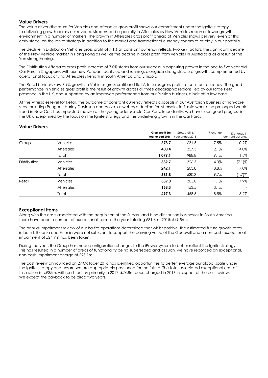# **Value Drivers**

The value driver disclosure for Vehicles and Aftersales gross profit shows our commitment under the Ignite strategy to delivering growth across our revenue streams and especially in Aftersales as New Vehicles reach a slower growth environment in a number of markets. The growth in Aftersales gross profit ahead of Vehicles shows delivery, even at this early stage, on the Ignite strategy in addition to the market and transactional currency dynamics at play in our portfolio.

The decline in Distribution Vehicles gross profit of 7.1% at constant currency reflects two key factors, the significant decline of the New Vehicle market in Hong Kong as well as the decline in gross profit from vehicles in Australasia as a result of the Yen strengthening.

The Distribution Aftersales gross profit increase of 7.0% stems from our success in capturing growth in the one to five year old Car Parc in Singapore, with our new Pandan facility up and running, alongside strong structural growth, complemented by operational focus driving Aftersales strength in South America and Ethiopia.

The Retail business saw 7.9% growth in Vehicles gross profit and flat Aftersales gross profit, at constant currency. The good performance in Vehicles gross profit is the result of growth across all three geographic regions, led by our large Retail presence in the UK, and supported by an improved performance from our Russian business, albeit off a low base.

At the Aftersales level for Retail, the outcome at constant currency reflects disposals in our Australian business of non-core sites, including Peugeot, Harley Davidson and Volvo, as well as a decline for Aftersales in Russia where the prolonged weak trend in New Cars has impacted the size of the young addressable Car Parc. Importantly, we have seen good progress in the UK underpinned by the focus on the Ignite strategy and the underlying growth in the Car Parc.

# **Value Drivers**

|              |                   | Gross profit £m<br>Year ended 2016 | Gross profit £m<br>Year ended 2015 | % change | % change in<br>constant currency |
|--------------|-------------------|------------------------------------|------------------------------------|----------|----------------------------------|
| Group        | <b>Vehicles</b>   | 678.7                              | 631.5                              | 7.5%     | 0.2%                             |
|              | <b>Aftersales</b> | 400.4                              | 357.3                              | 12.1%    | 4.0%                             |
|              | Total             | 1,079.1                            | 988.8                              | 9.1%     | 1.5%                             |
| Distribution | <b>Vehicles</b>   | 339.7                              | 326.5                              | 4.0%     | $(7.1)$ %                        |
|              | <b>Aftersales</b> | 242.1                              | 203.8                              | 18.8%    | 7.0%                             |
|              | Total             | 581.8                              | 530.3                              | 9.7%     | $(1.7)$ %                        |
| Retail       | <b>Vehicles</b>   | 339.0                              | 305.0                              | 11.1%    | 7.9%                             |
|              | <b>Aftersales</b> | 158.3                              | 153.5                              | 3.1%     | $\overline{\phantom{a}}$         |
|              | Total             | 497.3                              | 458.5                              | 8.5%     | 5.2%                             |

# **Exceptional Items**

Along with the costs associated with the acquisition of the Subaru and Hino distribution businesses in South America, there have been a number of exceptional items in the year totalling £81.6m (2015: £49.5m).

The annual impairment review of our Baltics operations determined that whilst positive, the estimated future growth rates in both Lithuania and Estonia were not sufficient to support the carrying value of the Goodwill and a non-cash exceptional impairment of £24.9m has been taken.

During the year, the Group has made configuration changes to the iPower system to better reflect the Ignite strategy. This has resulted in a number of areas of functionality being superseded and as such, we have recorded an exceptional, non-cash impairment charge of £23.1m.

The cost review announced on 27 October 2016 has identified opportunities to better leverage our global scale under the Ignite strategy and ensure we are appropriately positioned for the future. The total associated exceptional cost of this action is c.£35m, with cash outlay primarily in 2017. £24.8m been charged in 2016 in respect of the cost review. We expect the payback to be circa two years.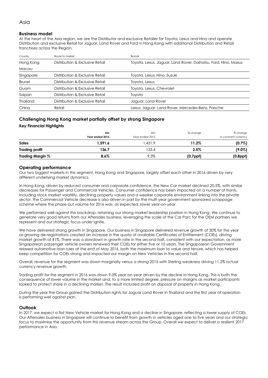# **Business model**

At the heart of the Asia region, we are the Distributor and exclusive Retailer for Toyota, Lexus and Hino and operate Distribution and exclusive Retail for Jaguar, Land Rover and Ford in Hong Kong with additional Distribution and Retail franchises across the Region.

| Country         | Route to market                 | Brands                                                         |
|-----------------|---------------------------------|----------------------------------------------------------------|
| Hong Kong       | Distribution & Exclusive Retail | Toyota, Lexus, Jaguar, Land Rover, Daihatsu, Ford, Hino, Maxus |
| Macau           |                                 |                                                                |
| Singapore       | Distribution & Exclusive Retail | Toyota, Lexus, Hino, Suzuki                                    |
| <b>Brunei</b>   | Distribution & Exclusive Retail | Toyota, Lexus                                                  |
| Guam            | Distribution & Exclusive Retail | Toyota, Lexus, Chevrolet                                       |
| Saipan          | Distribution & Exclusive Retail | Tovota                                                         |
| <b>Thailand</b> | Distribution & Exclusive Retail | Jaguar, Land Rover                                             |
| China           | Retail                          | Lexus, Jaguar, Land Rover, Mercedes-Benz, Porsche              |

# **Challenging Hong Kong market partially offset by strong Singapore**

#### **Key Financial Highlights**

|                       | £m<br>Year ended 2016 | £m<br>Year ended 2015 | % change       | % change<br>in constant currency |
|-----------------------|-----------------------|-----------------------|----------------|----------------------------------|
| <b>Sales</b>          | 1.591.6               | .431.9                | 11.2%          | $(0.7\%)$                        |
| <b>Trading profit</b> | 136.7                 | 133.4                 | 2.5%           | (9.0%)                           |
| Trading Margin %      | $8.6\%$               | 9.3%                  | $(0.7$ ppt $)$ | $(0.8$ ppt $)$                   |

#### **Operating performance**

Our two biggest markets in this segment, Hong Kong and Singapore, largely offset each other in 2016 driven by very different underlying market dynamics.

In Hong Kong, driven by reduced consumer and corporate confidence, the New Car market declined 20.5%, with similar decreases for Passenger and Commercial Vehicles. Consumer confidence has been impacted on a number of fronts, including stock market volatility, declining property values and a weaker corporate environment linking into the private sector. The Commercial Vehicle decrease is also driven in part by the multi-year government sponsored scrappage scheme where the phase-out volume for 2016 was, as expected, lower year-on-year.

We performed well against this backdrop, retaining our strong market leadership position in Hong Kong. We continue to generate very good returns from our Aftersales business, leveraging the scale of the Car Parc for the OEM partners we represent and our strategic focus under Ignite.

We have delivered strong growth in Singapore. Our business in Singapore delivered revenue growth of 30% for the year as growing de-registrations created an increase in the quota of available Certificates of Entitlement (COEs), driving market growth of 41%. There was a slowdown in growth rate in the second half, consistent with our expectation, as more Singaporean passenger vehicle owners renewed their COEs for either five or 10 years. The Singaporean Government relaxed automotive loan rules at the end of May 2016, both the maximum loan to value and tenure, which has helped keep competition for COEs strong and impacted our margin on New Vehicles in the second half.

Overall, revenue for the segment was down marginally versus a strong 2015 with Sterling weakness driving 11.2% actual currency revenue growth.

Trading profit for the segment in 2016 was down 9.0% year-on-year driven by the decline in Hong Kong. This is both the consequence of lower volume in the market and, to a more limited degree, pressure on margins as market participants looked to protect share in a declining market. The result included profit on disposal of property in Hong Kong.

During the year the Group gained the Distribution rights for Jaguar Land Rover in Thailand and the first year of operation is performing well against plan.

#### **Outlook**

In 2017, we expect a flat New Vehicle market for Hong Kong and a decline in Singapore, reflecting a lower supply of COEs. Our Aftersales business in Singapore will continue to benefit from growth in vehicles aged one to five years and our strategic focus to maximise the opportunity from this revenue stream across the Group. Overall we expect to deliver a resilient 2017 performance in Asia.

# Asia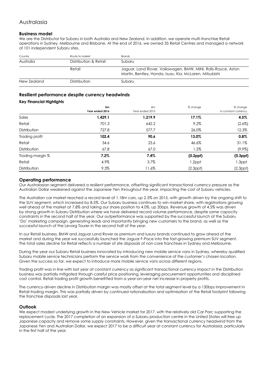# Australasia

# **Business model**

We are the Distributor for Subaru in both Australia and New Zealand. In addition, we operate multi-franchise Retail operations in Sydney, Melbourne and Brisbane. At the end of 2016, we owned 35 Retail Centres and managed a network of 101 independent Subaru sites.

| Country     | Route to market       | <b>Brands</b>                                                                                                            |
|-------------|-----------------------|--------------------------------------------------------------------------------------------------------------------------|
| Australia   | Distribution & Retail | Subaru                                                                                                                   |
|             | Retail                | Jaguar, Land Rover, Volkswagen, BMW, MINI, Rolls-Royce, Aston<br>Martin, Bentley, Honda, Isuzu, Kia, McLaren, Mitsubishi |
| New Zealand | Distribution          | Subaru                                                                                                                   |

# **Resilient performance despite currency headwinds**

#### **Key Financial Highlights**

|                  | £m              | £m              | % change       | % change             |
|------------------|-----------------|-----------------|----------------|----------------------|
|                  | Year ended 2016 | Year ended 2015 |                | in constant currency |
| Sales            | 1,429.1         | 1,219.9         | 17.1%          | 4.5%                 |
| Retail           | 701.3           | 642.2           | 9.2%           | $(2.6\%)$            |
| Distribution     | 727.8           | 577.7           | 26.0%          | 12.3%                |
| Trading profit   | 102.4           | 90.6            | 13.0%          | 0.8%                 |
| Retail           | 34.6            | 23.6            | 46.6%          | 31.1%                |
| Distribution     | 67.8            | 67.0            | 1.2%           | $(9.9\%)$            |
| Trading margin % | $7.2\%$         | 7.4%            | $(0.2$ ppł $)$ | $(0.3$ ppł $)$       |
| Retail           | 4.9%            | 3.7%            | 1.2ppt         | 1.3ppt               |
| Distribution     | 9.3%            | 11.6%           | $(2.3$ ppt $)$ | $(2.3$ ppt $)$       |

# **Operating performance**

Our Australasian segment delivered a resilient performance, offsetting significant transactional currency pressure as the Australian Dollar weakened against the Japanese Yen throughout the year, impacting the cost of Subaru vehicles.

The Australian car market reached a record level of 1.18m cars, up 2.3% on 2015, with growth driven by the ongoing shift to the SUV segment, which increased by 8.5%. Our Subaru business continues to win market share, with registrations growing well ahead of the market at 7.8% and taking our share position to 4.0%, up 20bps. Revenue growth of 4.5% was driven by strong growth in Subaru Distribution where we have delivered record volume performance, despite some capacity constraints in the second half of the year. Our outperformance was supported by the successful launch of the Subaru 'Do' marketing campaign, generating leads and importantly bringing new customers to the brand, as well as the successful launch of the Levorg Tourer in the second half of the year.

In our Retail business, BMW and Jaguar Land Rover as premium and luxury brands continued to grow ahead of the market and during the year we successfully launched the Jaguar F-Pace into the fast-growing premium SUV segment. The total sales decline for Retail reflects a number of site disposals of non-core franchises in Sydney and Melbourne.

During the year our Subaru Retail business innovated by introducing new mobile service vans in Sydney, whereby qualified Subaru mobile service technicians perform the service work from the convenience of the customer's chosen location. Given the success so far, we expect to introduce more mobile service vans across different regions.

Trading profit was in line with last year at constant currency as significant transactional currency impact in the Distribution business was partially mitigated through careful price positioning, leveraging procurement opportunities and disciplined cost control. Retail trading profit growth benefitted from a year-on-year net increase in property profits.

The currency-driven decline in Distribution margin was mostly offset at the total segment level by a 130bps improvement in Retail trading margin. This was partially driven by continued rationalisation and optimisation of the Retail footprint following the franchise disposals last year.

# **Outlook**

We expect modest underlying growth in the New Vehicle market for 2017, with the relatively old Car Parc supporting the replacement cycle. The 2017 completion of an expansion of a Subaru production centre in the United States will free up Japanese capacity and remove some supply constraints. However, given the transactional currency headwind from the Japanese Yen and Australian Dollar, we expect 2017 to be a difficult year at constant currency for Australasia, particularly in the first half of the year.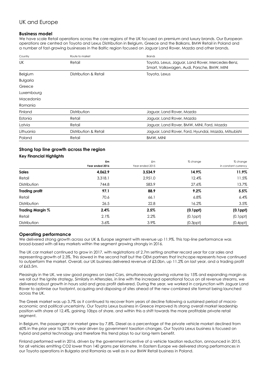# UK and Europe

# **Business model**

We have scale Retail operations across the core regions of the UK focused on premium and luxury brands. Our European operations are centred on Toyota and Lexus Distribution in Belgium, Greece and the Balkans, BMW Retail in Poland and a number of fast-growing businesses in the Baltic region focused on Jaguar Land Rover, Mazda and other brands.

| Country         | Route to market       | Brands                                                                                           |
|-----------------|-----------------------|--------------------------------------------------------------------------------------------------|
| UK              | Retail                | Toyota, Lexus, Jaguar, Land Rover, Mercedes-Benz,<br>Smart, Volkswagen, Audi, Porsche, BMW, MINI |
| Belgium         | Distribution & Retail | Toyota, Lexus                                                                                    |
| <b>Bulgaria</b> |                       |                                                                                                  |
| Greece          |                       |                                                                                                  |
| Luxembourg      |                       |                                                                                                  |
| Macedonia       |                       |                                                                                                  |
| Romania         |                       |                                                                                                  |
| Finland         | Distribution          | Jaguar, Land Rover, Mazda                                                                        |
| Estonia         | Retail                | Jaguar, Land Rover, Mazda                                                                        |
| Latvia          | Retail                | Jaguar, Land Rover, BMW, MINI, Ford, Mazda                                                       |
| Lithuania       | Distribution & Retail | Jaguar, Land Rover, Ford, Hyundai, Mazda, Mitsubishi                                             |
| Poland          | Retail                | BMW, MINI                                                                                        |

# **Strong top line growth across the region**

# **Key Financial Highlights**

|                         | £m<br>Year ended 2016 | £m<br>Year ended 2015 | % change       | % change<br>in constant currency |
|-------------------------|-----------------------|-----------------------|----------------|----------------------------------|
| <b>Sales</b>            | 4,062.9               | 3,534.9               | 14.9%          | 11.9%                            |
| Retail                  | 3,318.1               | 2,951.0               | 12.4%          | 11.5%                            |
| Distribution            | 744.8                 | 583.9                 | 27.6%          | 13.7%                            |
| <b>Trading profit</b>   | 97.1                  | 88.9                  | 9.2%           | 5.5%                             |
| Retail                  | 70.6                  | 66.1                  | $6.8\%$        | 6.4%                             |
| Distribution            | 26.5                  | 22.8                  | 16.2%          | 3.5%                             |
| <b>Trading Margin %</b> | 2.4%                  | 2.5%                  | $(0.1$ ppł $)$ | $(0.1$ ppł $)$                   |
| Retail                  | 2.1%                  | 2.2%                  | $(0.1$ ppt $)$ | $(0.1$ ppt $)$                   |
| Distribution            | 3.6%                  | 3.9%                  | $(0.3$ ppt $)$ | $(0.4$ ppt $)$                   |

# **Operating performance**

We delivered strong growth across our UK & Europe segment with revenue up 11.9%. This top-line performance was broad-based with all key markets within the segment growing strongly in 2016.

The UK car market continued to grow in 2017, with registrations of 2.7m setting another record year for car sales and representing growth of 2.3%. This slowed in the second half but the OEM partners that Inchcape represents have continued to outperform the market. Overall, our UK business delivered revenue of £3.0bn, up 11.2% on last year, and a trading profit of £63.5m.

Pleasingly in the UK, we saw good progress on Used Cars, simultaneously growing volume by 15% and expanding margin as we roll out the Ignite strategy. Similarly in Aftersales, in line with the increased operational focus on all revenue streams, we delivered robust growth in hours sold and gross profit delivered. During the year, we worked in conjunction with Jaguar Land Rover to optimise our footprint, acquiring and disposing of sites ahead of the new combined site format being launched across the UK.

The Greek market was up 3.7% as it continued to recover from years of decline following a sustained period of macroeconomic and political uncertainty. Our Toyota Lexus business in Greece improved its strong overall market leadership position with share of 12.4%, gaining 10bps of share, and within this a shift towards the more profitable private retail segment.

In Belgium, the passenger car market grew by 7.8%. Diesel as a percentage of the private vehicle market declined from 60% in the prior year to 52% this year driven by government taxation changes. Our Toyota Lexus business is focused on hybrid and petrol technology and therefore this trend plays to our long-term benefit.

Finland performed well in 2016, driven by the government incentive of a vehicle taxation reduction, announced in 2015, for all vehicles emitting CO2 lower than 140 grams per kilometre. In Eastern Europe we delivered strong performances in our Toyota operations in Bulgaria and Romania as well as in our BMW Retail business in Poland.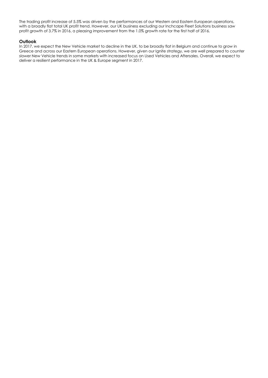The trading profit increase of 5.5% was driven by the performances of our Western and Eastern European operations, with a broadly flat total UK profit trend. However, our UK business excluding our Inchcape Fleet Solutions business saw profit growth of 3.7% in 2016, a pleasing improvement from the 1.0% growth rate for the first half of 2016.

#### **Outlook**

In 2017, we expect the New Vehicle market to decline in the UK, to be broadly flat in Belgium and continue to grow in Greece and across our Eastern European operations. However, given our Ignite strategy, we are well prepared to counter slower New Vehicle trends in some markets with increased focus on Used Vehicles and Aftersales. Overall, we expect to deliver a resilient performance in the UK & Europe segment in 2017.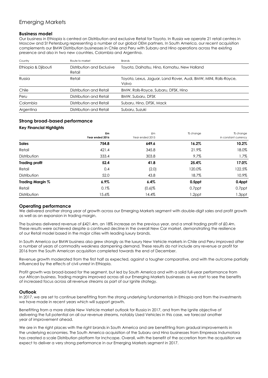# Emerging Markets

# **Business model**

Our business in Ethiopia is centred on Distribution and exclusive Retail for Toyota. In Russia we operate 21 retail centres in Moscow and St Petersburg representing a number of our global OEM partners. In South America, our recent acquisition complements our BMW Distribution businesses in Chile and Peru with Subaru and Hino operations across the existing presence and also in two new countries, Colombia and Argentina.

| Country             | Route to market                      | <b>Brands</b>                                                             |
|---------------------|--------------------------------------|---------------------------------------------------------------------------|
| Ethiopia & Djibouti | Distribution and Exclusive<br>Retail | Toyota, Daihatsu, Hino, Komatsu, New Holland                              |
| Russia              | Retail                               | Toyota, Lexus, Jaguar, Land Rover, Audi, BMW, MINI, Rolls-Royce,<br>Volvo |
| Chile               | Distribution and Retail              | BMW, Rolls-Royce, Subaru, DFSK, Hino                                      |
| Peru                | Distribution and Retail              | <b>BMW, Subaru, DFSK</b>                                                  |
| Colombia            | Distribution and Retail              | Subaru, Hino, DFSK, Mack                                                  |
| Argentina           | Distribution and Retail              | Subaru, Suzuki                                                            |

# **Strong broad-based performance**

# **Key Financial Highlights**

|                       | £m<br>Year ended 2016 | £m<br>Year ended 2015 | % change | % change<br>in constant currency |
|-----------------------|-----------------------|-----------------------|----------|----------------------------------|
| <b>Sales</b>          | 754.8                 | 649.6                 | 16.2%    | 10.2%                            |
| Retail                | 421.4                 | 345.8                 | 21.9%    | 18.0%                            |
| Distribution          | 333.4                 | 303.8                 | $9.7\%$  | 1.7%                             |
| <b>Trading profit</b> | 52.4                  | 41.8                  | 25.4%    | 17.0%                            |
| Retail                | 0.4                   | (2.0)                 | 120.0%   | 122.5%                           |
| Distribution          | 52.0                  | 43.8                  | 18.7%    | 10.9%                            |
| Trading Margin %      | $6.9\%$               | 6.4%                  | 0.5ppt   | 0.4ppt                           |
| Retail                | 0.1%                  | $(0.6)$ %             | 0.7ppt   | 0.7ppt                           |
| Distribution          | 15.6%                 | 14.4%                 | 1.2ppt   | 1.3ppt                           |

# **Operating performance**

We delivered another strong year of growth across our Emerging Markets segment with double-digit sales and profit growth as well as an expansion in trading margin.

The business delivered revenue of £421.4m, an 18% increase on the previous year, and a small trading profit of £0.4m. These results were achieved despite a continued decline in the overall New Car market, demonstrating the resilience of our Retail model based in the major cities with leading luxury brands.

In South America our BMW business also grew strongly as the luxury New Vehicle markets in Chile and Peru improved after a number of years of commodity weakness dampening demand. These results do not include any revenue or profit for 2016 from the South American acquisition completed towards the end of December.

Revenue growth moderated from the first half as expected, against a tougher comparative, and with the outcome partially influenced by the effects of civil unrest in Ethiopia.

Profit growth was broad-based for the segment, but led by South America and with a solid full-year performance from our African business. Trading margins improved across all our Emerging Markets businesses as we start to see the benefits of increased focus across all revenue streams as part of our Ignite strategy.

# **Outlook**

In 2017, we are set to continue benefitting from the strong underlying fundamentals in Ethiopia and from the investments we have made in recent years which will support growth.

Benefitting from a more stable New Vehicle market outlook for Russia in 2017, and from the Ignite objective of delivering the full potential on all our revenue streams, notably Used Vehicles in this case, we forecast another year of improvement ahead.

We are in the right places with the right brands in South America and are benefitting from gradual improvements in the underlying economies. The South America acquisition of the Subaru and Hino businesses from Empresas Indumotora has created a scale Distribution platform for Inchcape. Overall, with the benefit of the accretion from the acquisition we expect to deliver a very strong performance in our Emerging Markets segment in 2017.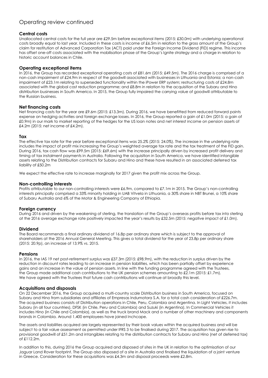# Operating review continued

# **Central costs**

Unallocated central costs for the full year are £29.5m before exceptional items (2015: £30.0m) with underlying operational costs broadly equal to last year. Included in these costs is income of £6.5m in relation to the gross amount of the Group's claim for restitution of Advanced Corporation Tax (ACT) paid under the Foreign Income Dividend (FID) regime. This income has offset one-off costs associated with the mobilisation phase of the Group's Ignite strategy and a charge in relation to historic account balances in Chile.

# **Operating exceptional items**

In 2016, the Group has recorded exceptional operating costs of £81.6m (2015: £49.5m). The 2016 charge is comprised of a non-cash impairment of £24.9m in respect of the goodwill associated with businesses in Lithuania and Estonia; a non-cash impairment of £23.1m relating to superseded functionality within the iPower ERP system; restructuring costs of £24.8m associated with the global cost reduction programme; and £8.8m in relation to the acquisition of the Subaru and Hino distribution businesses in South America. In 2015, the Group fully impaired the carrying value of goodwill attributable to the Russian business.

# **Net financing costs**

Net financing costs for the year are £9.6m (2015: £13.3m). During 2016, we have benefitted from reduced forward points expense on hedging activities and foreign exchange losses. In 2016, the Group reported a gain of £1.0m (2015: a gain of £0.9m) in our mark to market reporting of the hedges for the US loan notes and net interest income on pension assets of £4.2m (2015: net income of £4.2m).

# **Tax**

The effective tax rate for the year before exceptional items was 25.2% (2015: 24.0%). The increase in the underlying rate includes the impact of profit mix increasing the Group's weighted average tax rate and the tax treatment of the FID gain. During 2016, tax cash flow was £99.5m (2015: £69.6m) with the increase principally driven by increased profit delivery and timing of tax instalment payments in Australia. Following the acquisition in South America, we have identified intangible assets relating to the Distribution contracts for Subaru and Hino and these have resulted in an associated deferred tax liability of £50.2m

We expect the effective rate to increase marginally for 2017 given the profit mix across the Group.

# **Non-controlling interests**

Profits attributable to our non-controlling interests were £6.9m, compared to £7.1m in 2015. The Group's non-controlling interests principally comprised a 33% minority holding in UAB Vitvela in Lithuania, a 30% share in NBT Brunei, a 10% share of Subaru Australia and 6% of the Motor & Engineering Company of Ethiopia.

# **Foreign currency**

During 2016 and driven by the weakening of sterling, the translation of the Group's overseas profits before tax into sterling at the 2016 average exchange rate positively impacted the year's results by £32.5m (2015: negative impact of £1.0m).

# **Dividend**

The Board recommends a final ordinary dividend of 16.8p per ordinary share which is subject to the approval of shareholders at the 2016 Annual General Meeting. This gives a total dividend for the year of 23.8p per ordinary share (2015: 20.9p), an increase of 13.9% vs. 2015.

# **Pensions**

In 2016, the IAS 19 net post-retirement surplus was £37.3m (2015: £98.9m), with the reduction in surplus driven by the reduction in discount rates leading to an increase in pension liabilities, which has been partially offset by experience gains and an increase in the value of pension assets. In line with the funding programme agreed with the Trustees, the Group made additional cash contributions to the UK pension schemes amounting to £2.1m (2015: £1.7m). We have agreed with the Trustees that future cash contributions will continue at broadly this level.

# **Acquisitions and disposals**

On 22 December 2016, the Group acquired a multi-country scale Distribution business in South America, focused on Subaru and Hino from subsidiaries and affiliates of Empresas Indumotora S.A. for a total cash consideration of £226.7m. The acquired business consists of Distribution operations in Chile, Peru, Colombia and Argentina. In Light Vehicles, it includes Subaru (in all four countries), DFSK (in Chile, Peru and Colombia) and Suzuki (in Argentina). In Commercial Vehicles it includes Hino (in Chile and Colombia), as well as the truck brand Mack and a number of other machinery and components brands in Colombia. Around 1,400 employees have joined Inchcape.

The assets and liabilities acquired are largely represented by their book values within the acquired business and will be subject to a fair value assessment as permitted under IFRS 3 to be finalised during 2017. The acquisition has given rise to provisional goodwill of £51.2m and intangibles relating to the distribution contracts for Subaru and Hino (net of deferred tax) of £112.2m.

In addition to this, during 2016 the Group acquired and disposed of sites in the UK in relation to the optimisation of our Jaguar Land Rover footprint. The Group also disposed of a site in Australia and finalised the liquidation of a joint venture in Greece. Consideration for these acquisitions was £4.3m and disposal proceeds were £2.8m.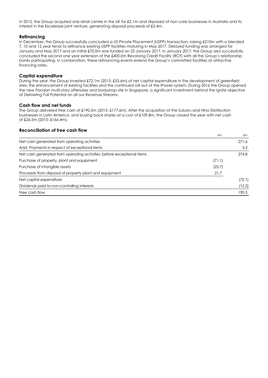In 2015, the Group acquired one retail centre in the UK for £5.1m and disposed of non-core businesses in Australia and its interest in the Excelease joint venture, generating disposal proceeds of £5.4m.

# **Refinancing**

In December, the Group successfully concluded a US Private Placement (USPP) transaction, raising £210m with a blended 7, 10 and 12 year tenor to refinance existing USPP facilities maturing in May 2017. Delayed funding was arranged for January and May 2017 and an initial £70.0m was funded on 25 January 2017. In January 2017, the Group also successfully concluded the second one year extension of the £400.0m Revolving Credit Facility (RCF) with all the Group's relationship banks participating. In combination, these refinancing events extend the Group's committed facilities at attractive financing rates.

# **Capital expenditure**

During the year, the Group invested £72.1m (2015: £53.6m) of net capital expenditure in the development of greenfield sites, the enhancement of existing facilities and the continued roll-out of the iPower system. During 2016 the Group opened the new Pandan multi-story aftersales and bodyshop site in Singapore, a significant investment behind the Ignite objective of Delivering Full Potential on all our Revenue Streams.

# **Cash flow and net funds**

The Group delivered free cash of £190.5m (2015: £177.6m). After the acquisition of the Subaru and Hino Distribution businesses in Latin America, and buying back shares at a cost of £109.8m, the Group closed the year with net cash of £26.5m (2015: £166.4m).

# **Reconciliation of free cash flow**

|                                                                        | £m     | £m     |
|------------------------------------------------------------------------|--------|--------|
| Net cash generated from operating activities                           |        | 271.6  |
| Add: Payments in respect of exceptional items                          |        | 3.2    |
| Net cash generated from operating activities, before exceptional items |        | 274.8  |
| Purchase of property, plant and equipment                              | (71.1) |        |
| Purchase of intangible assets                                          | (22.7) |        |
| Proceeds from disposal of property plant and equipment                 | 21.7   |        |
| Net capital expenditure                                                |        | (72.1) |
| Dividends paid to non-controlling interests                            |        | (12.2) |
| Free cash flow                                                         |        | 190.5  |
|                                                                        |        |        |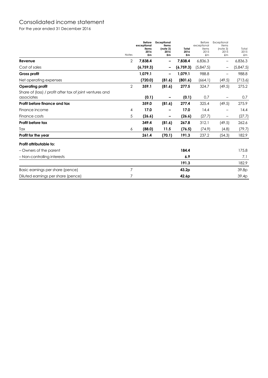# Consolidated income statement

For the year ended 31 December 2016

|                                                                        | Notes          | <b>Before</b><br>exceptional<br>items<br>2016<br>£m | <b>Exceptional</b><br>items<br>(note 3)<br>2016<br>£m | Total<br>2016<br>£m | Before<br>exceptional<br>items<br>2015<br>$\pmb{f}$ m | Exceptional<br>items<br>(note 3)<br>2015<br>£m | Total<br>2015<br>$\pmb{m}$ |
|------------------------------------------------------------------------|----------------|-----------------------------------------------------|-------------------------------------------------------|---------------------|-------------------------------------------------------|------------------------------------------------|----------------------------|
| Revenue                                                                | 2              | 7,838.4                                             | -                                                     | 7,838.4             | 6,836.3                                               | $\overline{\phantom{m}}$                       | 6,836.3                    |
| Cost of sales                                                          |                | (6,759.3)                                           |                                                       | (6,759.3)           | (5,847.5)                                             |                                                | (5,847.5)                  |
| Gross profit                                                           |                | 1,079.1                                             |                                                       | 1,079.1             | 988.8                                                 | $\qquad \qquad -$                              | 988.8                      |
| Net operating expenses                                                 |                | (720.0)                                             | (81.6)                                                | (801.6)             | (664.1)                                               | (49.5)                                         | (713.6)                    |
| Operating profit                                                       | 2              | 359.1                                               | (81.6)                                                | 277.5               | 324.7                                                 | (49.5)                                         | 275.2                      |
| Share of (loss) / profit after tax of joint ventures and<br>associates |                | (0.1)                                               |                                                       | (0.1)               | 0.7                                                   |                                                | 0.7                        |
| Profit before finance and tax                                          |                | 359.0                                               | (81.6)                                                | 277.4               | 325.4                                                 | (49.5)                                         | 275.9                      |
| Finance income                                                         | 4              | 17.0                                                |                                                       | 17.0                | 14.4                                                  |                                                | 14.4                       |
| Finance costs                                                          | 5              | (26.6)                                              | -                                                     | (26.6)              | (27.7)                                                | $\qquad \qquad -$                              | (27.7)                     |
| Profit before tax                                                      |                | 349.4                                               | (81.6)                                                | 267.8               | 312.1                                                 | (49.5)                                         | 262.6                      |
| Tax                                                                    | 6              | (88.0)                                              | 11.5                                                  | (76.5)              | (74.9)                                                | (4.8)                                          | (79.7)                     |
| Profit for the year                                                    |                | 261.4                                               | (70.1)                                                | 191.3               | 237.2                                                 | (54.3)                                         | 182.9                      |
| Profit attributable to:                                                |                |                                                     |                                                       |                     |                                                       |                                                |                            |
| - Owners of the parent                                                 |                |                                                     |                                                       | 184.4               |                                                       |                                                | 175.8                      |
| - Non-controlling interests                                            |                |                                                     |                                                       | 6.9                 |                                                       |                                                | 7.1                        |
|                                                                        |                |                                                     |                                                       | 191.3               |                                                       |                                                | 182.9                      |
| Basic earnings per share (pence)                                       | $\overline{7}$ |                                                     |                                                       | 43.2p               |                                                       |                                                | 39.8p                      |
| Diluted earnings per share (pence)                                     | 7              |                                                     |                                                       | 42.6 <sub>p</sub>   |                                                       |                                                | 39.4p                      |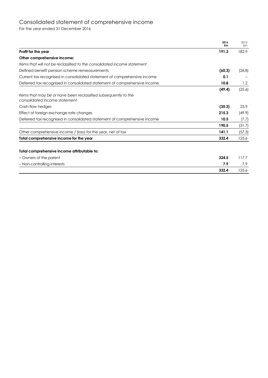# Consolidated statement of comprehensive income

For the year ended 31 December 2016

|                                                                                                  | 2016<br>£m   | 2015<br>£m |
|--------------------------------------------------------------------------------------------------|--------------|------------|
| Profit for the year                                                                              | 191.3        | 182.9      |
| Other comprehensive income:                                                                      |              |            |
| Items that will not be reclassified to the consolidated income statement                         |              |            |
| Defined benefit pension scheme remeasurements                                                    | (60.3)       | (26.8)     |
| Current tax recognised in consolidated statement of comprehensive income                         | 0.1          |            |
| Deferred tax recognised in consolidated statement of comprehensive income                        | 10.8         | 1.2        |
|                                                                                                  | (49.4)       | (25.6)     |
| Items that may be or have been reclassified subsequently to the<br>consolidated income statement |              |            |
| Cash flow hedges                                                                                 | (35.3)       | 25.9       |
| Effect of foreign exchange rate changes                                                          | 215.3        | (49.9)     |
| Deferred tax recognised in consolidated statement of comprehensive income                        | 10.5         | (7.7)      |
|                                                                                                  | 190.5        | (31.7)     |
| Other comprehensive income / (loss) for the year, net of tax                                     | 141.1        | (57.3)     |
| Total comprehensive income for the year                                                          | 332.4        | 125.6      |
| Total comprehensive income attributable to:                                                      |              |            |
| - Owners of the parent                                                                           | 324.5        | 117.7      |
| - Non-controlling interests                                                                      | 7.9<br>332.4 | 7.9        |
|                                                                                                  |              | 125.6      |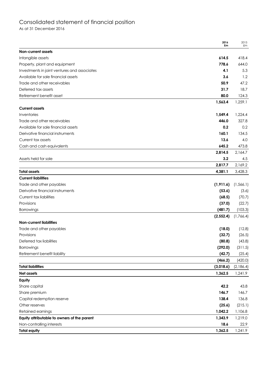# Consolidated statement of financial position

As at 31 December 2016

|                                              | 2016<br>£m | 2015<br>£m |
|----------------------------------------------|------------|------------|
| <b>Non-current assets</b>                    |            |            |
| Intangible assets                            | 614.5      | 418.4      |
| Property, plant and equipment                | 778.6      | 644.0      |
| Investments in joint ventures and associates | 4.1        | 5.3        |
| Available for sale financial assets          | 3.6        | 1.2        |
| Trade and other receivables                  | 50.9       | 47.2       |
| Deferred tax assets                          | 31.7       | 18.7       |
| Retirement benefit asset                     | 80.0       | 124.3      |
|                                              | 1,563.4    | 1,259.1    |
| <b>Current assets</b>                        |            |            |
| Inventories                                  | 1,549.4    | 1,224.4    |
| Trade and other receivables                  | 446.0      | 327.8      |
| Available for sale financial assets          | 0.2        | 0.2        |
| Derivative financial instruments             | 160.1      | 134.5      |
| Current tax assets                           | 13.6       | 4.0        |
| Cash and cash equivalents                    | 645.2      | 473.8      |
|                                              | 2,814.5    | 2,164.7    |
| Assets held for sale                         | 3.2        | 4.5        |
|                                              | 2,817.7    | 2,169.2    |
| <b>Total assets</b>                          | 4,381.1    | 3,428.3    |
| <b>Current liabilities</b>                   |            |            |
| Trade and other payables                     | (1, 911.6) | (1, 566.1) |
| Derivative financial instruments             | (53.6)     | (3.6)      |
| Current tax liabilities                      | (68.5)     | (70.7)     |
| Provisions                                   | (37.0)     | (22.7)     |
| <b>Borrowings</b>                            | (481.7)    | (103.3)    |
|                                              | (2, 552.4) | (1,766.4)  |
| Non-current liabilities                      |            |            |
| Trade and other payables                     | (18.0)     | (12.8)     |
| Provisions                                   | (32.7)     | (26.5)     |
| Deferred tax liabilities                     | (80.8)     | (43.8)     |
| Borrowings                                   | (292.0)    | (311.5)    |
| Retirement benefit liability                 | (42.7)     | (25.4)     |
|                                              | (466.2)    | (420.0)    |
| <b>Total liabilities</b>                     | (3,018.6)  | (2,186.4)  |
| Net assets                                   | 1,362.5    | 1,241.9    |
| Equity                                       |            |            |
| Share capital                                | 42.2       | 43.8       |
| Share premium                                | 146.7      | 146.7      |
| Capital redemption reserve                   | 138.4      | 136.8      |
| Other reserves                               | (25.6)     | (215.1)    |
| Retained earnings                            | 1,042.2    | 1,106.8    |
| Equity attributable to owners of the parent  | 1,343.9    | 1,219.0    |
| Non-controlling interests                    | 18.6       | 22.9       |
| <b>Total equity</b>                          | 1,362.5    | 1,241.9    |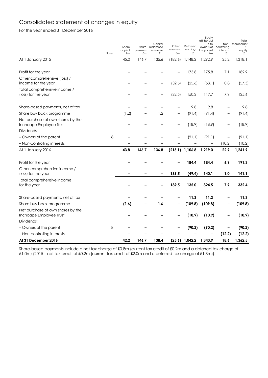# Consolidated statement of changes in equity

For the year ended 31 December 2016

|                                                              | <b>Notes</b> | Share<br>capital<br>£m | Share<br>premium<br>£m | Capital<br>redemptio<br>n reserve<br>£m | Other<br>reserves<br>£m | Retained<br>earnings<br>£m | Equity<br>attributabl<br>e to<br>owners of<br>the parent<br>£m | controlling<br>interests<br>£m | Total<br>Non- shareholder<br>s'<br>equity<br>£m |
|--------------------------------------------------------------|--------------|------------------------|------------------------|-----------------------------------------|-------------------------|----------------------------|----------------------------------------------------------------|--------------------------------|-------------------------------------------------|
| At 1 January 2015                                            |              | 45.0                   | 146.7                  | 135.6                                   | (182.6)                 | 1,148.2                    | 1,292.9                                                        | 25.2                           | 1,318.1                                         |
| Profit for the year                                          |              |                        |                        |                                         |                         | 175.8                      | 175.8                                                          | 7.1                            | 182.9                                           |
| Other comprehensive (loss) /<br>income for the year          |              |                        |                        |                                         | (32.5)                  | (25.6)                     | (58.1)                                                         | 0.8                            | (57.3)                                          |
| Total comprehensive income /<br>(loss) for the year          |              |                        |                        |                                         | (32.5)                  | 150.2                      | 117.7                                                          | 7.9                            | 125.6                                           |
| Share-based payments, net of tax                             |              |                        |                        |                                         |                         | 9.8                        | 9.8                                                            |                                | 9.8                                             |
| Share buy back programme                                     |              | (1.2)                  | —                      | 1.2                                     | $\qquad \qquad -$       | (91.4)                     | (91.4)                                                         | —                              | (91.4)                                          |
| Net purchase of own shares by the<br>Inchcape Employee Trust |              |                        |                        |                                         | $\qquad \qquad -$       | (18.9)                     | (18.9)                                                         | $\qquad \qquad -$              | (18.9)                                          |
| Dividends:                                                   |              |                        |                        |                                         |                         |                            |                                                                |                                |                                                 |
| - Owners of the parent                                       | 8            |                        |                        |                                         |                         | (91.1)                     | (91.1)                                                         | $\qquad \qquad -$              | (91.1)                                          |
| - Non-controlling interests                                  |              |                        |                        |                                         |                         |                            |                                                                | (10.2)                         | (10.2)                                          |
| At 1 January 2016                                            |              | 43.8                   | 146.7                  | 136.8                                   |                         | $(215.1)$ 1,106.8          | 1,219.0                                                        | 22.9                           | 1,241.9                                         |
| Profit for the year                                          |              |                        |                        |                                         |                         | 184.4                      | 184.4                                                          | 6.9                            | 191.3                                           |
| Other comprehensive income /<br>(loss) for the year          |              |                        |                        |                                         | 189.5                   | (49.4)                     | 140.1                                                          | 1.0                            | 141.1                                           |
| Total comprehensive income<br>for the year                   |              |                        |                        |                                         | 189.5                   | 135.0                      | 324.5                                                          | 7.9                            | 332.4                                           |
| Share-based payments, net of tax                             |              |                        |                        |                                         |                         | 11.3                       | 11.3                                                           |                                | 11.3                                            |
| Share buy back programme                                     |              | (1.6)                  |                        | 1.6                                     |                         | (109.8)                    | (109.8)                                                        |                                | (109.8)                                         |
| Net purchase of own shares by the<br>Inchcape Employee Trust |              |                        |                        |                                         |                         | (10.9)                     | (10.9)                                                         |                                | (10.9)                                          |
| Dividends:                                                   |              |                        |                        |                                         |                         |                            |                                                                |                                |                                                 |
| - Owners of the parent                                       | 8            |                        |                        |                                         |                         | (90.2)                     | (90.2)                                                         |                                | (90.2)                                          |
| - Non-controlling interests                                  |              |                        |                        |                                         |                         |                            |                                                                | (12.2)                         | (12.2)                                          |
| At 31 December 2016                                          |              | 42.2                   | 146.7                  | 138.4                                   |                         | $(25.6)$ 1,042.2           | 1,343.9                                                        | 18.6                           | 1,362.5                                         |

Share-based payments include a net tax charge of £0.8m (current tax credit of £0.2m and a deferred tax charge of £1.0m) (2015 – net tax credit of £0.2m (current tax credit of £2.0m and a deferred tax charge of £1.8m)).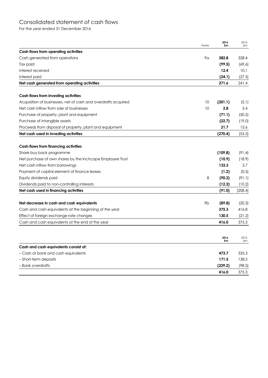# Consolidated statement of cash flows

For the year ended 31 December 2016

|                                                                                                     | Notes          | 2016<br>£m      | 2015<br>£m      |
|-----------------------------------------------------------------------------------------------------|----------------|-----------------|-----------------|
| Cash flows from operating activities                                                                |                |                 |                 |
| Cash generated from operations                                                                      | 9α             | 382.8           | 328.4           |
| Tax paid                                                                                            |                | (99.5)          | (69.6)          |
| Interest received                                                                                   |                | 12.4            | 10.1            |
| Interest paid                                                                                       |                | (24.1)          | (27.5)          |
| Net cash generated from operating activities                                                        |                | 271.6           | 241.4           |
| Cash flows from investing activities                                                                |                |                 |                 |
| Acquisition of businesses, net of cash and overdrafts acquired                                      | 10             | (201.1)         | (5.1)           |
| Net cash inflow from sale of businesses                                                             | 10             | 2.8             | 5.4             |
| Purchase of property, plant and equipment                                                           |                | (71.1)          | (50.2)          |
| Purchase of intangible assets                                                                       |                | (22.7)          | (19.0)          |
| Proceeds from disposal of property, plant and equipment                                             |                | 21.7            | 15.6            |
| Net cash used in investing activities                                                               |                | (270.4)         | (53.3)          |
| Cash flows from financing activities                                                                |                |                 |                 |
| Share buy back programme                                                                            |                | (109.8)         | (91.4)          |
| Net purchase of own shares by the Inchcape Employee Trust                                           |                | (10.9)          | (18.9)          |
| Net cash inflow from borrowings                                                                     |                | 133.3           | 3.7             |
| Payment of capital element of finance leases                                                        |                | (1.2)           | (0.5)           |
| Equity dividends paid                                                                               | 8              | (90.2)          | (91.1)          |
| Dividends paid to non-controlling interests                                                         |                | (12.2)          | (10.2)          |
| Net cash used in financing activities                                                               |                | (91.0)          | (208.4)         |
|                                                                                                     | 9 <sub>b</sub> |                 |                 |
| Net decrease in cash and cash equivalents<br>Cash and cash equivalents at the beginning of the year |                | (89.8)<br>375.3 | (20.3)<br>416.8 |
| Effect of foreign exchange rate changes                                                             |                | 130.5           |                 |
|                                                                                                     |                | 416.0           | (21.2)<br>375.3 |
| Cash and cash equivalents at the end of the year                                                    |                |                 |                 |
|                                                                                                     |                | 2016<br>£m      | 2015<br>£m      |
| Cash and cash equivalents consist of:                                                               |                |                 |                 |
| - Cash at bank and cash equivalents                                                                 |                | 473.7           | 335.3           |
| - Short-term deposits                                                                               |                | 171.5           | 138.5           |
| – Bank overdrafts                                                                                   |                | (229.2)         | (98.5)          |
|                                                                                                     |                | 416.0           | 375.3           |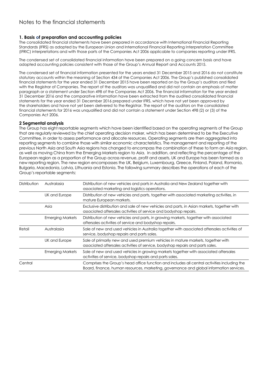# **1. Basis of preparation and accounting policies**

The consolidated financial statements have been prepared in accordance with International Financial Reporting Standards (IFRS) as adopted by the European Union and International Financial Reporting Interpretation Committee (IFRIC) interpretations and with those parts of the Companies Act 2006 applicable to companies reporting under IFRS.

The condensed set of consolidated financial information have been prepared on a going concern basis and have adopted accounting policies consistent with those of the Group's Annual Report and Accounts 2015.

The condensed set of financial information presented for the years ended 31 December 2015 and 2016 do not constitute statutory accounts within the meaning of Section 434 of the Companies Act 2006. The Group's published consolidated financial statements for the year ended 31 December 2015 have been reported on by the Group's auditors and filed with the Registrar of Companies. The report of the auditors was unqualified and did not contain an emphasis of matter paragraph or a statement under Section 498 of the Companies Act 2006. The financial information for the year ended 31 December 2016 and the comparative information have been extracted from the audited consolidated financial statements for the year ended 31 December 2016 prepared under IFRS, which have not yet been approved by the shareholders and have not yet been delivered to the Registrar. The report of the auditors on the consolidated financial statements for 2016 was unqualified and did not contain a statement under Section 498 (2) or (3) of the Companies Act 2006.

# **2 Segmental analysis**

The Group has eight reportable segments which have been identified based on the operating segments of the Group that are regularly reviewed by the chief operating decision maker, which has been determined to be the Executive Committee, in order to assess performance and allocate resources. Operating segments are then aggregated into reporting segments to combine those with similar economic characteristics. The management and reporting of the previous North Asia and South Asia regions has changed to encompass the combination of these to form an Asia region, as well as moving China from the Emerging Markets region to Asia. In addition, and reflecting the percentage of the European region as a proportion of the Group across revenue, profit and assets, UK and Europe has been formed as a new reporting region. The new region encompasses the UK, Belgium, Luxembourg, Greece, Finland, Poland, Romania, Bulgaria, Macedonia, Latvia, Lithuania and Estonia. The following summary describes the operations of each of the Group's reportable segments:

| Distribution | Australasia             | Distribution of new vehicles and parts in Australia and New Zealand together with<br>associated marketing and logistics operations.                                                     |
|--------------|-------------------------|-----------------------------------------------------------------------------------------------------------------------------------------------------------------------------------------|
|              | UK and Europe           | Distribution of new vehicles and parts, together with associated marketing activities, in<br>mature European markets.                                                                   |
|              | Asia                    | Exclusive distribution and sale of new vehicles and parts, in Asian markets, together with<br>associated aftersales activities of service and bodyshop repairs.                         |
|              | <b>Emerging Markets</b> | Distribution of new vehicles and parts, in growing markets, together with associated<br>aftersales activities of service and bodyshop repairs.                                          |
| Retail       | Australasia             | Sale of new and used vehicles in Australia together with associated aftersales activities of<br>service, bodyshop repairs and parts sales.                                              |
|              | UK and Europe           | Sale of primarily new and used premium vehicles in mature markets, together with<br>associated aftersales activities of service, bodyshop repairs and parts sales.                      |
|              | <b>Emerging Markets</b> | Sale of new and used vehicles in growing markets together with associated aftersales<br>activities of service, bodyshop repairs and parts sales.                                        |
| Central      |                         | Comprises the Group's head office function and includes all central activities including the<br>Board, finance, human resources, marketing, governance and global information services. |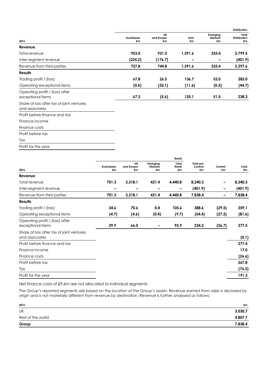|                                                             |                   |                        |            |                                  | <b>Distribution</b>                |
|-------------------------------------------------------------|-------------------|------------------------|------------|----------------------------------|------------------------------------|
| 2016                                                        | Australasia<br>£m | UK<br>and Europe<br>£m | Asia<br>£m | Emerging<br><b>Markets</b><br>£m | Total<br><b>Distribution</b><br>£m |
| Revenue                                                     |                   |                        |            |                                  |                                    |
| Total revenue                                               | 953.0             | 921.5                  | 1,591.6    | 333.4                            | 3,799.5                            |
| Inter-segment revenue                                       | (225.2)           | (176.7)                |            | -                                | (401.9)                            |
| Revenue from third parties                                  | 727.8             | 744.8                  | 1,591.6    | 333.4                            | 3,397.6                            |
| <b>Results</b>                                              |                   |                        |            |                                  |                                    |
| Trading profit / (loss)                                     | 67.8              | 26.5                   | 136.7      | 52.0                             | 283.0                              |
| Operating exceptional items                                 | (0.5)             | (32.1)                 | (11.6)     | (0.5)                            | (44.7)                             |
| Operating profit / (loss) after<br>exceptional items        | 67.3              | (5.6)                  | 125.1      | 51.5                             | 238.3                              |
| Share of loss after tax of joint ventures<br>and associates |                   |                        |            |                                  |                                    |
| Profit before finance and tax                               |                   |                        |            |                                  |                                    |
| Finance income                                              |                   |                        |            |                                  |                                    |
| Finance costs                                               |                   |                        |            |                                  |                                    |
| Profit before tax                                           |                   |                        |            |                                  |                                    |
| Tax                                                         |                   |                        |            |                                  |                                    |
| Profit for the year                                         |                   |                        |            |                                  |                                    |

|                                                             |             |                  |                            | Retail          |                             |         |         |
|-------------------------------------------------------------|-------------|------------------|----------------------------|-----------------|-----------------------------|---------|---------|
|                                                             | Australasia | UK<br>and Europe | Emerging<br><b>Markets</b> | Total<br>Retail | <b>Total pre</b><br>Central | Central | Total   |
| 2016                                                        | £m          | £m               | £m                         | £m              | £m                          | £m      | £m      |
| Revenue                                                     |             |                  |                            |                 |                             |         |         |
| Total revenue                                               | 701.3       | 3,318.1          | 421.4                      | 4,440.8         | 8,240.3                     |         | 8,240.3 |
| Inter-segment revenue                                       |             |                  |                            |                 | (401.9)                     |         | (401.9) |
| Revenue from third parties                                  | 701.3       | 3,318.1          | 421.4                      | 4,440.8         | 7,838.4                     | -       | 7,838.4 |
| <b>Results</b>                                              |             |                  |                            |                 |                             |         |         |
| Trading profit / (loss)                                     | 34.6        | 70.6             | 0.4                        | 105.6           | 388.6                       | (29.5)  | 359.1   |
| Operating exceptional items                                 | (4.7)       | (4.6)            | (0.4)                      | (9.7)           | (54.4)                      | (27.2)  | (81.6)  |
| Operating profit / (loss) after                             |             |                  |                            |                 |                             |         |         |
| exceptional items                                           | 29.9        | 66.0             | -                          | 95.9            | 334.2                       | (56.7)  | 277.5   |
| Share of loss after tax of joint ventures<br>and associates |             |                  |                            |                 |                             |         | (0.1)   |
| Profit before finance and tax                               |             |                  |                            |                 |                             |         | 277.4   |
| Finance income                                              |             |                  |                            |                 |                             |         | 17.0    |
| Finance costs                                               |             |                  |                            |                 |                             |         | (26.6)  |
| Profit before tax                                           |             |                  |                            |                 |                             |         | 267.8   |
| Tax                                                         |             |                  |                            |                 |                             |         | (76.5)  |
| Profit for the year                                         |             |                  |                            |                 |                             |         | 191.3   |
|                                                             |             |                  |                            |                 |                             |         |         |

Net finance costs of £9.6m are not allocated to individual segments.

The Group's reported segments are based on the location of the Group's assets. Revenue earned from sales is disclosed by origin and is not materially different from revenue by destination. Revenue is further analysed as follows:

| 2016                                                | £m      |
|-----------------------------------------------------|---------|
| UK                                                  | 3,030.7 |
| Rest of the world                                   | 4,807.7 |
| Group<br><b>Contract Contract Contract Contract</b> | 7,838.4 |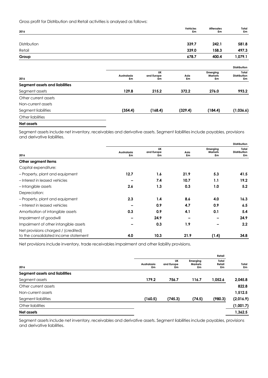Gross profit for Distribution and Retail activities is analysed as follows:

| 2016                           |             |                  | <b>Vehicles</b><br>£m | <b>Aftersales</b><br>£m    | Total<br>£m                  |
|--------------------------------|-------------|------------------|-----------------------|----------------------------|------------------------------|
|                                |             |                  |                       |                            |                              |
| Distribution                   |             |                  | 339.7                 | 242.1                      | 581.8                        |
| Retail                         |             |                  | 339.0                 | 158.3                      | 497.3                        |
| Group                          |             |                  | 678.7                 | 400.4                      | 1,079.1                      |
|                                |             |                  |                       |                            | Distribution                 |
|                                | Australasia | UK<br>and Europe | Asia                  | Emerging<br><b>Markets</b> | Total<br><b>Distribution</b> |
| 2016                           | £m          | £m               | £m                    | £m                         | £m                           |
| Segment assets and liabilities |             |                  |                       |                            |                              |
| Segment assets                 | 129.8       | 215.2            | 372.2                 | 276.0                      | 993.2                        |
| Other current assets           |             |                  |                       |                            |                              |
| Non-current assets             |             |                  |                       |                            |                              |
| Segment liabilities            | (354.4)     | (168.4)          | (329.4)               | (184.4)                    | (1,036.6)                    |
| Other liabilities              |             |                  |                       |                            |                              |

#### **Net assets**

Segment assets include net inventory, receivables and derivative assets. Segment liabilities include payables, provisions and derivative liabilities.

|                                                                             |                   |                        |            |                                  | <b>Distribution</b>                |
|-----------------------------------------------------------------------------|-------------------|------------------------|------------|----------------------------------|------------------------------------|
| 2016                                                                        | Australasia<br>£m | UK<br>and Europe<br>£m | Asia<br>£m | Emerging<br><b>Markets</b><br>£m | Total<br><b>Distribution</b><br>£m |
| Other segment items                                                         |                   |                        |            |                                  |                                    |
| Capital expenditure:                                                        |                   |                        |            |                                  |                                    |
| - Property, plant and equipment                                             | 12.7              | 1.6                    | 21.9       | 5.3                              | 41.5                               |
| -Interest in leased vehicles                                                |                   | 7.4                    | 10.7       | 1.1                              | 19.2                               |
| -Intangible assets                                                          | 2.6               | 1.3                    | 0.3        | 1.0                              | 5.2                                |
| Depreciation:                                                               |                   |                        |            |                                  |                                    |
| - Property, plant and equipment                                             | 2.3               | 1.4                    | 8.6        | 4.0                              | 16.3                               |
| -Interest in leased vehicles                                                |                   | 0.9                    | 4.7        | 0.9                              | 6.5                                |
| Amortisation of intangible assets                                           | 0.3               | 0.9                    | 4.1        | 0.1                              | 5.4                                |
| Impairment of goodwill                                                      |                   | 24.9                   |            |                                  | 24.9                               |
| Impairment of other intangible assets                                       |                   | 0.3                    | 1.9        |                                  | 2.2                                |
| Net provisions charged / (credited)<br>to the consolidated income statement | 4.0               | 10.3                   | 21.9       | (1.4)                            | 34.8                               |

Net provisions include inventory, trade receivables impairment and other liability provisions.

|                                |                   |                        |                           | Retail                |             |
|--------------------------------|-------------------|------------------------|---------------------------|-----------------------|-------------|
| 2016                           | Australasia<br>£m | UK<br>and Europe<br>£m | Emerging<br>Markets<br>£m | Total<br>Retail<br>£m | Total<br>£m |
| Segment assets and liabilities |                   |                        |                           |                       |             |
| Segment assets                 | 179.2             | 756.7                  | 116.7                     | 1,052.6               | 2,045.8     |
| Other current assets           |                   |                        |                           |                       | 822.8       |
| Non-current assets             |                   |                        |                           |                       | 1,512.5     |
| Segment liabilities            | (160.5)           | (745.3)                | (74.5)                    | (980.3)               | (2,016.9)   |
| Other liabilities              |                   |                        |                           |                       | (1,001.7)   |
| Net assets                     |                   |                        |                           |                       | 1,362.5     |

Segment assets include net inventory, receivables and derivative assets. Segment liabilities include payables, provisions and derivative liabilities.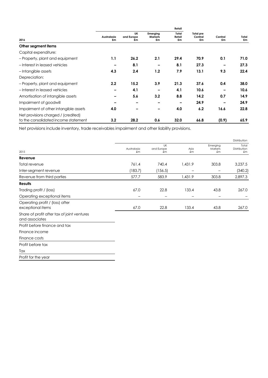|                                                                             |                   |                        |                                  | Retail                |                                   |               |             |
|-----------------------------------------------------------------------------|-------------------|------------------------|----------------------------------|-----------------------|-----------------------------------|---------------|-------------|
| 2016                                                                        | Australasia<br>£m | UK<br>and Europe<br>£m | Emerging<br><b>Markets</b><br>£m | Total<br>Retail<br>£m | <b>Total pre</b><br>Central<br>£m | Central<br>£m | Total<br>£m |
| Other segment items                                                         |                   |                        |                                  |                       |                                   |               |             |
| Capital expenditure:                                                        |                   |                        |                                  |                       |                                   |               |             |
| - Property, plant and equipment                                             | 1.1               | 26.2                   | 2.1                              | 29.4                  | 70.9                              | 0.1           | 71.0        |
| -Interest in leased vehicles                                                |                   | 8.1                    |                                  | 8.1                   | 27.3                              |               | 27.3        |
| -Intangible assets                                                          | 4.3               | 2.4                    | 1.2                              | 7.9                   | 13.1                              | 9.3           | 22.4        |
| Depreciation:                                                               |                   |                        |                                  |                       |                                   |               |             |
| - Property, plant and equipment                                             | 2.2               | 15.2                   | 3.9                              | 21.3                  | 37.6                              | 0.4           | 38.0        |
| -Interest in leased vehicles                                                |                   | 4.1                    |                                  | 4.1                   | 10.6                              |               | 10.6        |
| Amortisation of intangible assets                                           |                   | 5.6                    | 3.2                              | 8.8                   | 14.2                              | 0.7           | 14.9        |
| Impairment of goodwill                                                      |                   | -                      |                                  |                       | 24.9                              |               | 24.9        |
| Impairment of other intangible assets                                       | 4.0               |                        |                                  | 4.0                   | 6.2                               | 16.6          | 22.8        |
| Net provisions charged / (credited)<br>to the consolidated income statement | 3.2               | 28.2                   | 0.6                              | 32.0                  | 66.8                              | (0.9)         | 65.9        |

Net provisions include inventory, trade receivables impairment and other liability provisions.

|                                                               |                   |                        |            | Distribution              |                             |
|---------------------------------------------------------------|-------------------|------------------------|------------|---------------------------|-----------------------------|
| 2015                                                          | Australasia<br>£m | UK<br>and Europe<br>£m | Asia<br>£m | Emerging<br>Markets<br>£m | Total<br>Distribution<br>£m |
| Revenue                                                       |                   |                        |            |                           |                             |
| Total revenue                                                 | 761.4             | 740.4                  | 1,431.9    | 303.8                     | 3,237.5                     |
| Inter-segment revenue                                         | (183.7)           | (156.5)                |            |                           | (340.2)                     |
| Revenue from third parties                                    | 577.7             | 583.9                  | 1,431.9    | 303.8                     | 2,897.3                     |
| <b>Results</b>                                                |                   |                        |            |                           |                             |
| Trading profit / (loss)                                       | 67.0              | 22.8                   | 133.4      | 43.8                      | 267.0                       |
| Operating exceptional items                                   |                   |                        |            |                           |                             |
| Operating profit / (loss) after<br>exceptional items          | 67.0              | 22.8                   | 133.4      | 43.8                      | 267.0                       |
| Share of profit after tax of joint ventures<br>and associates |                   |                        |            |                           |                             |
| Profit before finance and tax                                 |                   |                        |            |                           |                             |
| Finance income                                                |                   |                        |            |                           |                             |
| Finance costs                                                 |                   |                        |            |                           |                             |
| Profit before tax                                             |                   |                        |            |                           |                             |
| Tax                                                           |                   |                        |            |                           |                             |
| Profit for the year                                           |                   |                        |            |                           |                             |
|                                                               |                   |                        |            |                           |                             |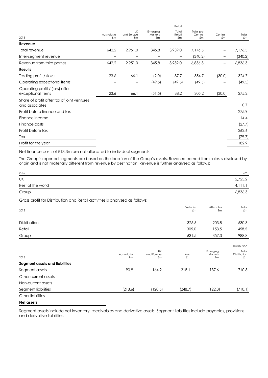|                                                               | Retail            |                               |                           |                       |                            |                                        |                      |
|---------------------------------------------------------------|-------------------|-------------------------------|---------------------------|-----------------------|----------------------------|----------------------------------------|----------------------|
| 2015                                                          | Australasia<br>£m | <b>UK</b><br>and Europe<br>£m | Emerging<br>Markets<br>£m | Total<br>Retail<br>£m | Total pre<br>Central<br>£m | Central<br>$\pmb{\pmb{\varepsilon}}$ m | Total<br>$\pounds$ m |
| Revenue                                                       |                   |                               |                           |                       |                            |                                        |                      |
| Total revenue                                                 | 642.2             | 2,951.0                       | 345.8                     | 3,939.0               | 7,176.5                    |                                        | 7,176.5              |
| Inter-segment revenue                                         |                   |                               |                           |                       | (340.2)                    |                                        | (340.2)              |
| Revenue from third parties                                    | 642.2             | 2,951.0                       | 345.8                     | 3,939.0               | 6,836.3                    |                                        | 6,836.3              |
| <b>Results</b>                                                |                   |                               |                           |                       |                            |                                        |                      |
| Trading profit / (loss)                                       | 23.6              | 66.1                          | (2.0)                     | 87.7                  | 354.7                      | (30.0)                                 | 324.7                |
| Operating exceptional items                                   |                   | —                             | (49.5)                    | (49.5)                | (49.5)                     |                                        | (49.5)               |
| Operating profit / (loss) after<br>exceptional items          | 23.6              | 66.1                          | (51.5)                    | 38.2                  | 305.2                      | (30.0)                                 | 275.2                |
| Share of profit after tax of joint ventures<br>and associates |                   |                               |                           |                       |                            |                                        | 0.7                  |
| Profit before finance and tax                                 |                   |                               |                           |                       |                            |                                        | 275.9                |
| Finance income                                                |                   |                               |                           |                       |                            |                                        | 14.4                 |
| Finance costs                                                 |                   |                               |                           |                       |                            |                                        | (27.7)               |
| Profit before tax                                             |                   |                               |                           |                       |                            |                                        | 262.6                |
| Tax                                                           |                   |                               |                           |                       |                            |                                        | (79.7)               |
| Profit for the year                                           |                   |                               |                           |                       |                            |                                        | 182.9                |
|                                                               |                   |                               |                           |                       |                            |                                        |                      |

Net finance costs of £13.3m are not allocated to individual segments.

The Group's reported segments are based on the location of the Group's assets. Revenue earned from sales is disclosed by origin and is not materially different from revenue by destination. Revenue is further analysed as follows:

| 2015              | £m      |
|-------------------|---------|
| UK                | 2,725.2 |
| Rest of the world | 4,111.1 |
| Group             | 6,836.3 |

Gross profit for Distribution and Retail activities is analysed as follows:

| 2015         | Vehicles<br>£m | Aftersales<br>£m | Total<br>£m |
|--------------|----------------|------------------|-------------|
|              |                |                  |             |
| Distribution | 326.5          | 203.8            | 530.3       |
| Retail       | 305.0          | 153.5            | 458.5       |
| Group        | 631.5          | 357.3            | 988.8       |

|                                |                   |                        |            |                           | Distribution                |
|--------------------------------|-------------------|------------------------|------------|---------------------------|-----------------------------|
| 2015                           | Australasia<br>£m | UK<br>and Europe<br>£m | Asia<br>£m | Emerging<br>Markets<br>£m | Total<br>Distribution<br>£m |
| Segment assets and liabilities |                   |                        |            |                           |                             |
| Segment assets                 | 90.9              | 164.2                  | 318.1      | 137.6                     | 710.8                       |
| Other current assets           |                   |                        |            |                           |                             |
| Non-current assets             |                   |                        |            |                           |                             |
| Segment liabilities            | (218.6)           | (120.5)                | (248.7)    | 122.3                     | (710.1)                     |
| Other liabilities              |                   |                        |            |                           |                             |

**Net assets** 

Segment assets include net inventory, receivables and derivative assets. Segment liabilities include payables, provisions and derivative liabilities.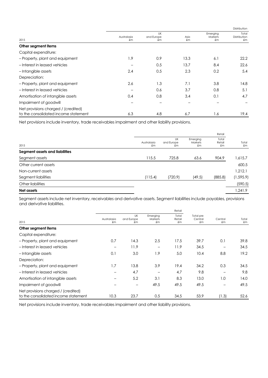|                                      |                   |                               |            |                           | Distribution                |
|--------------------------------------|-------------------|-------------------------------|------------|---------------------------|-----------------------------|
| 2015                                 | Australasia<br>£m | <b>UK</b><br>and Europe<br>£m | Asia<br>£m | Emerging<br>Markets<br>£m | Total<br>Distribution<br>£m |
| Other segment items                  |                   |                               |            |                           |                             |
| Capital expenditure:                 |                   |                               |            |                           |                             |
| - Property, plant and equipment      | 1.9               | 0.9                           | 13.3       | 6.1                       | 22.2                        |
| -Interest in leased vehicles         |                   | 0.5                           | 13.7       | 8.4                       | 22.6                        |
| -Intangible assets                   | 2.4               | 0.5                           | 2.3        | 0.2                       | 5.4                         |
| Depreciation:                        |                   |                               |            |                           |                             |
| - Property, plant and equipment      | 2.6               | 1.3                           | 7.1        | 3.8                       | 14.8                        |
| - Interest in leased vehicles        |                   | 0.6                           | 3.7        | 0.8                       | 5.1                         |
| Amortisation of intangible assets    | 0.4               | 0.8                           | 3.4        | 0.1                       | 4.7                         |
| Impairment of goodwill               |                   |                               |            |                           |                             |
| Net provisions charged / (credited)  |                   |                               |            |                           |                             |
| to the consolidated income statement | 6.3               | 4.8                           | 6.7        | 1.6                       | 19.4                        |

Net provisions include inventory, trade receivables impairment and other liability provisions.

|                            | Retail                 |                           |                       |             |
|----------------------------|------------------------|---------------------------|-----------------------|-------------|
| Australasia<br>$\pounds$ m | UK<br>and Europe<br>£m | Emerging<br>Markets<br>£m | Total<br>Retail<br>£m | Total<br>£m |
|                            |                        |                           |                       |             |
| 115.5                      | 725.8                  | 63.6                      | 904.9                 | 1,615.7     |
|                            |                        |                           |                       | 600.5       |
|                            |                        |                           |                       | 1,212.1     |
| (115.4)                    | (720.9)                | (49.5)                    | (885.8)               | (1, 595.9)  |
|                            |                        |                           |                       | (590.5)     |
|                            |                        |                           |                       | 9.142, ا    |
|                            |                        |                           |                       |             |

Segment assets include net inventory, receivables and derivative assets. Segment liabilities include payables, provisions and derivative liabilities.

|                                                                             | Retail                 |                        |                                    |                       |                                     |                        |             |
|-----------------------------------------------------------------------------|------------------------|------------------------|------------------------------------|-----------------------|-------------------------------------|------------------------|-------------|
| 2015                                                                        | Australasia<br>£m      | UK<br>and Europe<br>£m | Emerging<br>Markets<br>$\pmb{f}$ m | Total<br>Retail<br>£m | Total pre<br>Central<br>$\pounds$ m | Central<br>$\pmb{f}$ m | Total<br>£m |
| Other segment items                                                         |                        |                        |                                    |                       |                                     |                        |             |
| Capital expenditure:                                                        |                        |                        |                                    |                       |                                     |                        |             |
| - Property, plant and equipment                                             | 0.7                    | 14.3                   | 2.5                                | 17.5                  | 39.7                                | 0.1                    | 39.8        |
| -Interest in leased vehicles                                                | $\qquad \qquad$        | 11.9                   |                                    | 11.9                  | 34.5                                |                        | 34.5        |
| - Intangible assets                                                         | 0.1                    | 3.0                    | 1.9                                | 5.0                   | 10.4                                | 8.8                    | 19.2        |
| Depreciation:                                                               |                        |                        |                                    |                       |                                     |                        |             |
| - Property, plant and equipment                                             | 1.7                    | 13.8                   | 3.9                                | 19.4                  | 34.2                                | 0.3                    | 34.5        |
| - Interest in leased vehicles                                               | $\qquad \qquad \qquad$ | 4.7                    |                                    | 4.7                   | 9.8                                 |                        | 9.8         |
| Amortisation of intangible assets                                           |                        | 5.2                    | 3.1                                | 8.3                   | 13.0                                | 1.0                    | 14.0        |
| Impairment of goodwill                                                      |                        | $\qquad \qquad -$      | 49.5                               | 49.5                  | 49.5                                |                        | 49.5        |
| Net provisions charged / (credited)<br>to the consolidated income statement | 10.3                   | 23.7                   | 0.5                                | 34.5                  | 53.9                                | (1.3)                  | 52.6        |

Net provisions include inventory, trade receivables impairment and other liability provisions.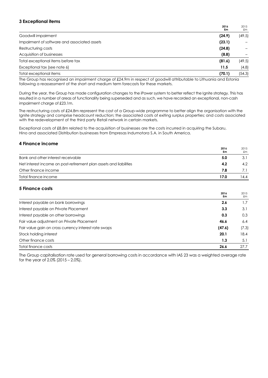# **3 Exceptional items**

|                                              | 2016<br>£m | 2015<br>£m |
|----------------------------------------------|------------|------------|
| Goodwill impairment                          | (24.9)     | (49.5)     |
| Impairment of software and associated assets | (23.1)     |            |
| Restructuring costs                          | (24.8)     |            |
| Acquisition of businesses                    | (8.8)      |            |
| Total exceptional items before tax           | (81.6)     | (49.5)     |
| Exceptional tax (see note 6)                 | 11.5       | (4.8)      |
| Total exceptional items                      | (70.1)     | (54.3)     |
|                                              |            |            |

The Group has recognised an impairment charge of £24.9m in respect of goodwill attributable to Lithuania and Estonia following a reassessment of the short and medium term forecasts for these markets.

During the year, the Group has made configuration changes to the iPower system to better reflect the Ignite strategy. This has resulted in a number of areas of functionality being superseded and as such, we have recorded an exceptional, non-cash impairment charge of £23.1m.

The restructuring costs of £24.8m represent the cost of a Group-wide programme to better align the organisation with the Ignite strategy and comprise headcount reduction; the associated costs of exiting surplus properties; and costs associated with the redevelopment of the third party Retail network in certain markets.

Exceptional costs of £8.8m related to the acquisition of businesses are the costs incurred in acquiring the Subaru, Hino and associated Distribution businesses from Empresas Indumotora S.A. in South America.

# **4 Finance income**

|                                                                    | 2016<br>£m | 2015<br>£m |
|--------------------------------------------------------------------|------------|------------|
| Bank and other interest receivable                                 | 5.0        | 3.1        |
| Net interest income on post-retirement plan assets and liabilities | 4.2        | 4.2        |
| Other finance income                                               | 7.8        |            |
| Total finance income                                               | 17.0       | 14.4       |

**2016** 

2015

# **5 Finance costs**

|                                                       | 2016<br>£m | 2015<br>£m |
|-------------------------------------------------------|------------|------------|
| Interest payable on bank borrowings                   | 2.6        | 1.7        |
| Interest payable on Private Placement                 | 3.3        | 3.1        |
| Interest payable on other borrowings                  | 0.3        | 0.3        |
| Fair value adjustment on Private Placement            | 46.6       | 6.4        |
| Fair value gain on cross currency interest rate swaps | (47.6)     | (7.3)      |
| Stock holding interest                                | 20.1       | 18.4       |
| Other finance costs                                   | 1.3        | 5.1        |
| Total finance costs                                   | 26.6       | 27.7       |

The Group capitalisation rate used for general borrowing costs in accordance with IAS 23 was a weighted average rate for the year of 2.0% (2015 – 2.0%).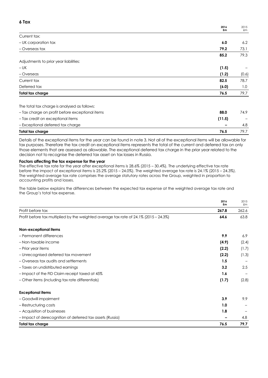# **6 Tax**

|                                                 | 2016<br>£m | 2015<br>£m |
|-------------------------------------------------|------------|------------|
| Current tax:                                    |            |            |
| - UK corporation tax                            | 6.0        | 6.2        |
| - Overseas tax                                  | 79.2       | 73.1       |
|                                                 | 85.2       | 79.3       |
| Adjustments to prior year liabilities:          |            |            |
| $- UK$                                          | (1.5)      |            |
| - Overseas                                      | (1.2)      | (0.6)      |
| Current tax                                     | 82.5       | 78.7       |
| Deferred tax                                    | (6.0)      | 1.0        |
| Total tax charge                                | 76.5       | 79.7       |
| The total tax charge is analysed as follows:    |            |            |
| - Tax charge on profit before exceptional items | 88.0       | 74.9       |
| - Tax credit on exceptional items               | (11.5)     |            |

| – Exceptional deferred tax charge                                                                                            | $\overline{\phantom{0}}$ |  |
|------------------------------------------------------------------------------------------------------------------------------|--------------------------|--|
| Total tax charge                                                                                                             | 76.5                     |  |
| Details of the exceptional items for the year can be found in note 3. Not all of the exceptional items will be allowable for |                          |  |

tax purposes. Therefore the tax credit on exceptional items represents the total of the current and deferred tax on only those elements that are assessed as allowable. The exceptional deferred tax charge in the prior year related to the decision not to recognise the deferred tax asset on tax losses in Russia.

# **Factors affecting the tax expense for the year**

The effective tax rate for the year after exceptional items is 28.6% (2015 – 30.4%). The underlying effective tax rate before the impact of exceptional items is 25.2% (2015 – 24.0%). The weighted average tax rate is 24.1% (2015 – 24.3%). The weighted average tax rate comprises the average statutory rates across the Group, weighted in proportion to accounting profits and losses.

The table below explains the differences between the expected tax expense at the weighted average tax rate and the Group's total tax expense.

|                                                                                       | 2016<br>£m | 2015<br>£m |
|---------------------------------------------------------------------------------------|------------|------------|
| Profit before tax                                                                     | 267.8      | 262.6      |
| Profit before tax multiplied by the weighted average tax rate of 24.1% (2015 - 24.3%) | 64.6       | 63.8       |
| Non-exceptional items                                                                 |            |            |
| - Permanent differences                                                               | 9.9        | 6.9        |
| - Non-taxable income                                                                  | (4.9)      | (2.4)      |
| - Prior year items                                                                    | (2.2)      | (1.7)      |
| - Unrecognised deferred tax movement                                                  | (2.2)      | (1.3)      |
| - Overseas tax audits and settlements                                                 | 1.5        |            |
| - Taxes on undistributed earnings                                                     | 3.2        | 2.5        |
| - Impact of the FID Claim receipt taxed at 45%                                        | 1.6        |            |
| - Other items (including tax rate differentials)                                      | (1.7)      | (2.8)      |
| <b>Exceptional items</b>                                                              |            |            |
| - Goodwill impairment                                                                 | 3.9        | 9.9        |
| - Restructuring costs                                                                 | 1.0        |            |
| - Acquisition of businesses                                                           | 1.8        |            |
| - Impact of derecognition of deferred tax assets (Russia)                             |            | 4.8        |
| Total tax charge                                                                      | 76.5       | 79.7       |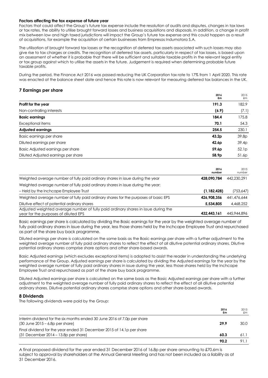#### **Factors affecting the tax expense of future year**

Factors that could affect the Group's future tax expense include the resolution of audits and disputes, changes in tax laws or tax rates, the ability to utilise brought forward losses and business acquisitions and disposals. In addition, a change in profit mix between low and high taxed jurisdictions will impact the Group's future tax expense and this could happen as a result of acquisitions, for example the acquisition of certain businesses from Empresas Indumotora S.A.

The utilisation of brought forward tax losses or the recognition of deferred tax assets associated with such losses may also give rise to tax charges or credits. The recognition of deferred tax assets, particularly in respect of tax losses, is based upon an assessment of whether it is probable that there will be sufficient and suitable taxable profits in the relevant legal entity or tax group against which to utilise the assets in the future. Judgement is required when determining probable future taxable profits.

During the period, the Finance Act 2016 was passed reducing the UK Corporation tax rate to 17% from 1 April 2020. This rate was enacted at the balance sheet date and hence this rate is now relevant for measuring deferred tax balances in the UK.

**2016**

# **7 Earnings per share**

|                                     | 2016<br>£m        | 2015<br>£m |
|-------------------------------------|-------------------|------------|
| Profit for the year                 | 191.3             | 182.9      |
| Non-controlling interests           | (6.9)             | (7.1)      |
| <b>Basic earnings</b>               | 184.4             | 175.8      |
| Exceptional items                   | 70.1              | 54.3       |
| <b>Adjusted earnings</b>            | 254.5             | 230.1      |
| Basic earnings per share            | 43.2 <sub>p</sub> | 39.8p      |
| Diluted earnings per share          | 42.6 <sub>p</sub> | 39.4p      |
| Basic Adjusted earnings per share   | 59.6p             | 52.1p      |
| Diluted Adjusted earnings per share | 58.9p             | 51.6p      |

|                                                                                                                            | 2016<br>number | 2015<br>number |
|----------------------------------------------------------------------------------------------------------------------------|----------------|----------------|
| Weighted average number of fully paid ordinary shares in issue during the year                                             | 428.090.784    | 442.230.291    |
| Weighted average number of fully paid ordinary shares in issue during the year:                                            |                |                |
| - Held by the Inchcape Employee Trust                                                                                      | (1, 182, 428)  | (753,647)      |
| Weighted average number of fully paid ordinary shares for the purposes of basic EPS                                        | 426.908.356    | 441,476,644    |
| Dilutive effect of potential ordinary shares                                                                               | 5,534,805      | 4,468,252      |
| Adjusted weighted average number of fully paid ordinary shares in issue during the<br>year for the purposes of diluted EPS | 432,443,161    | 445,944,896    |

Basic earnings per share is calculated by dividing the Basic earnings for the year by the weighted average number of fully paid ordinary shares in issue during the year, less those shares held by the Inchcape Employee Trust and repurchased as part of the share buy back programme.

Diluted earnings per share is calculated on the same basis as the Basic earnings per share with a further adjustment to the weighted average number of fully paid ordinary shares to reflect the effect of all dilutive potential ordinary shares. Dilutive potential ordinary shares comprise share options and other share-based awards.

Basic Adjusted earnings (which excludes exceptional items) is adopted to assist the reader in understanding the underlying performance of the Group. Adjusted earnings per share is calculated by dividing the Adjusted earnings for the year by the weighted average number of fully paid ordinary shares in issue during the year, less those shares held by the Inchcape Employee Trust and repurchased as part of the share buy back programme.

Diluted Adjusted earnings per share is calculated on the same basis as the Basic Adjusted earnings per share with a further adjustment to the weighted average number of fully paid ordinary shares to reflect the effect of all dilutive potential ordinary shares. Dilutive potential ordinary shares comprise share options and other share-based awards.

# **8 Dividends**

The following dividends were paid by the Group:

|                                                                                                                 | 2016<br>£m | 2015<br>£m |
|-----------------------------------------------------------------------------------------------------------------|------------|------------|
| Interim dividend for the six months ended 30 June 2016 of 7.0p per share<br>$(30$ June $2015 - 6.8p$ per share) | 29.9       | 30.0       |
| Final dividend for the year ended 31 December 2015 of 14.1p per share                                           |            |            |
| $(31$ December $2014 - 13.8p$ per share)                                                                        | 60.3       | 61.1       |
|                                                                                                                 | 90.2       | 91.1       |

A final proposed dividend for the year ended 31 December 2016 of 16.8p per share amounting to £70.6m is subject to approval by shareholders at the Annual General Meeting and has not been included as a liability as at 31 December 2016.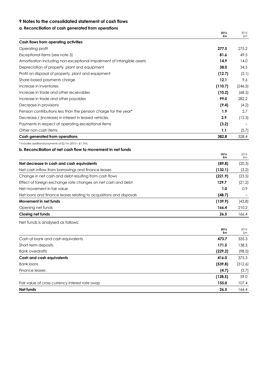# **9 Notes to the consolidated statement of cash flows**

# **a. Reconciliation of cash generated from operations**

|                                                                        | 2016<br>£m | 2015<br>£m  |
|------------------------------------------------------------------------|------------|-------------|
| Cash flows from operating activities                                   |            |             |
| Operating profit                                                       | 277.5      | 275.2       |
| Exceptional items (see note 3)                                         | 81.6       | 49.5        |
| Amortisation including non-exceptional impairment of intangible assets | 14.9       | 14.0        |
| Depreciation of property, plant and equipment                          | 38.0       | 34.5        |
| Profit on disposal of property, plant and equipment                    | (12.7)     | (2.1)       |
| Share-based payments charge                                            | 12.1       | 9.6         |
| Increase in inventories                                                | (110.7)    | (246.5)     |
| Increase in trade and other receivables                                | (10.2)     | (68.5)      |
| Increase in trade and other payables                                   | 99.0       | 282.2       |
| Decrease in provisions                                                 | (9.4)      | (4.2)       |
| Pension contributions less than the pension charge for the year*       | 1.9        | 2.7         |
| Decrease / (increase) in interest in leased vehicles                   | 2.9        | (12.3)      |
| Payments in respect of operating exceptional items                     | (3.2)      |             |
| Other non-cash items                                                   | 1.1        | (5.7)       |
| Cash generated from operations                                         | 382.8      | 328.4       |
| * Includes additional payments of £2.1m (2015 - £1.7m).                |            |             |
| b. Reconciliation of net cash flow to movement in net funds            |            |             |
|                                                                        | 2016<br>£m | 2015<br>£m  |
| Net decrease in cash and cash equivalents                              | (89.8)     | (20.3)      |
| Net cash inflow from borrowings and finance leases                     | (132.1)    | (3.2)       |
| Change in net cash and debt resulting from cash flows                  | (221.9)    | (23.5)      |
| Effect of foreign exchange rate changes on net cash and debt           | 129.7      | (21.2)      |
| Net movement in fair value                                             | 1.0        | 0.9         |
| Net loans and finance leases relating to acquisitions and disposals    | (48.7)     |             |
| Movement in net funds                                                  | (139.9)    | (43.8)      |
| Opening net funds                                                      | 166.4      | 210.2       |
| Closing net funds                                                      | 26.5       | 166.4       |
| Net funds is analysed as follows:                                      |            |             |
|                                                                        | 2016       | 2015        |
| Cash at bank and cash equivalents                                      | 473.7      | £m<br>335.3 |
| Short-term deposits                                                    | 171.5      | 138.5       |
| <b>Bank overdrafts</b>                                                 | (229.2)    | (98.5)      |
| <b>Cash and cash equivalents</b>                                       | 416.0      | 375.3       |
| <b>Bank loans</b>                                                      | (539.8)    | (312.6)     |
| Finance leases                                                         | (4.7)      | (3.7)       |
|                                                                        | (128.5)    | 59.0        |
| Fair value of cross currency interest rate swap                        | 155.0      | 107.4       |
| Net funds                                                              | 26.5       | 166.4       |
|                                                                        |            |             |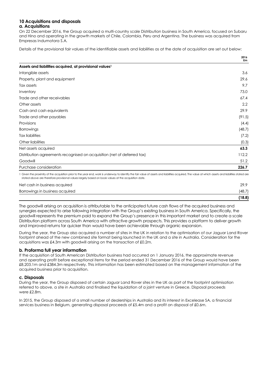#### **10 Acquisitions and disposals a. Acquisitions**

On 22 December 2016, the Group acquired a multi-country scale Distribution business in South America, focused on Subaru and Hino and operating in the growth markets of Chile, Colombia, Peru and Argentina. The business was acquired from Empresas Indumotora S.A.

Details of the provisional fair values of the identifiable assets and liabilities as at the date of acquisition are set out below:

|                                                                                                                                                                                                      | 2016<br>£m |
|------------------------------------------------------------------------------------------------------------------------------------------------------------------------------------------------------|------------|
| Assets and liabilities acquired, at provisional values <sup>1</sup>                                                                                                                                  |            |
| Intangible assets                                                                                                                                                                                    | 3.6        |
| Property, plant and equipment                                                                                                                                                                        | 29.6       |
| Tax assets                                                                                                                                                                                           | 9.7        |
| Inventory                                                                                                                                                                                            | 73.0       |
| Trade and other receivables                                                                                                                                                                          | 67.4       |
| Other assets                                                                                                                                                                                         | 2.2        |
| Cash and cash equivalents                                                                                                                                                                            | 29.9       |
| Trade and other payables                                                                                                                                                                             | (91.5)     |
| Provisions                                                                                                                                                                                           | (4.4)      |
| <b>Borrowings</b>                                                                                                                                                                                    | (48.7)     |
| <b>Tax liabilities</b>                                                                                                                                                                               | (7.2)      |
| Other liabilities                                                                                                                                                                                    | (0.3)      |
| Net assets acquired                                                                                                                                                                                  | 63.3       |
| Distribution agreements recognised on acquisition (net of deferred tax)                                                                                                                              | 112.2      |
| Goodwill                                                                                                                                                                                             | 51.2       |
| Purchase consideration                                                                                                                                                                               | 226.7      |
| 1 Given the proximity of the acquisition prior to the year end, work is underway to identify the fair value of assets and liabilities acquired. The value at which assets and liabilities stated are |            |

stated above are therefore provisional values largely based on book values at the acquisition date.

| (18.8) |
|--------|
| (48.7) |
| 29.9   |
|        |

The goodwill arising on acquisition is attributable to the anticipated future cash flows of the acquired business and synergies expected to arise following integration with the Group's existing business in South America. Specifically, the goodwill represents the premium paid to expand the Group's presence in this important market and to create a scale Distribution platform across South America with attractive growth prospects. This provides a platform to deliver growth and improved returns far quicker than would have been achievable through organic expansion.

During the year, the Group also acquired a number of sites in the UK in relation to the optimisation of our Jaguar Land Rover footprint ahead of the new combined site format being launched in the UK and a site in Australia. Consideration for the acquisitions was £4.3m with goodwill arising on the transaction of £0.2m.

# **b. Proforma full year information**

If the acquisition of South American Distribution business had occurred on 1 January 2016, the approximate revenue and operating profit before exceptional items for the period ended 31 December 2016 of the Group would have been £8,203.1m and £384.3m respectively. This information has been estimated based on the management information of the acquired business prior to acquisition.

# **c. Disposals**

During the year, the Group disposed of certain Jaguar Land Rover sites in the UK as part of the footprint optimisation referred to above, a site in Australia and finalised the liquidation of a joint venture in Greece. Disposal proceeds were £2.8m.

In 2015, the Group disposed of a small number of dealerships in Australia and its interest in Excelease SA, a financial services business in Belgium, generating disposal proceeds of £5.4m and a profit on disposal of £0.6m.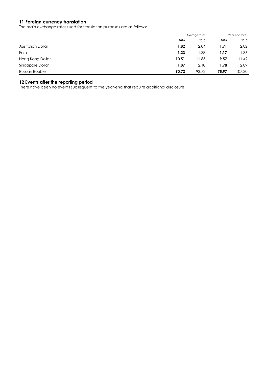# **11 Foreign currency translation**

The main exchange rates used for translation purposes are as follows:

|                       |       | Average rates    |       | Year end rates |
|-----------------------|-------|------------------|-------|----------------|
|                       | 2016  | 2015             | 2016  | 2015           |
| Australian Dollar     | 1.82  | 2.04             | 1.71  | 2.02           |
| Euro                  | 1.23  | $\overline{.38}$ | 1.17  | 1.36           |
| Hong Kong Dollar      | 10.51 | 11.85            | 9.57  | 11.42          |
| Singapore Dollar      | 1.87  | 2.10             | 1.78  | 2.09           |
| <b>Russian Rouble</b> | 90.72 | 93.72            | 75.97 | 107.30         |

# **12 Events after the reporting period**

There have been no events subsequent to the year-end that require additional disclosure.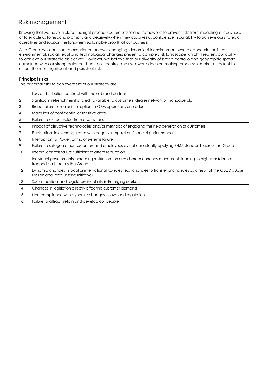# Risk management

Knowing that we have in place the right procedures, processes and frameworks to prevent risks from impacting our business, or to enable us to respond promptly and decisively when they do, gives us confidence in our ability to achieve our strategic objectives and support the long-term sustainable growth of our business.

As a Group, we continue to experience an ever-changing, dynamic risk environment where economic, political, environmental, social, legal and technological changes present a complex risk landscape which threatens our ability to achieve our strategic objectives. However, we believe that our diversity of brand portfolio and geographic spread, combined with our strong balance sheet, cost control and risk-aware decision-making processes, make us resilient to all but the most significant and persistent risks.

# **Principal risks**

The principal risks to achievement of our strategy are:

|    | Loss of distribution contract with major brand partner                                                                                                                |
|----|-----------------------------------------------------------------------------------------------------------------------------------------------------------------------|
| 2  | Significant retrenchment of credit available to customers, dealer network or Inchcape plc                                                                             |
| 3  | Brand failure or major interruption to OEM operations or product                                                                                                      |
| 4  | Major loss of confidential or sensitive data                                                                                                                          |
| 5  | Failure to extract value from acquisitions                                                                                                                            |
| 6  | Impact of disruptive technologies and/or methods of engaging the next generation of customers                                                                         |
|    | Fluctuations in exchange rates with negative impact on financial performance                                                                                          |
| 8  | Interruption to iPower, or major systems failure                                                                                                                      |
| 9  | Failure to safeguard our customers and employees by not consistently applying EH&S standards across the Group                                                         |
| 10 | Internal controls failure sufficient to affect reputation                                                                                                             |
| 11 | Individual governments increasing restrictions on cross-border currency movements leading to higher incidents of<br>trapped cash across the Group                     |
| 12 | Dynamic changes in local or international tax rules (e.g. changes to transfer pricing rules as a result of the OECD's Base<br>Erosion and Profit Shifting Initiative) |
| 13 | Social, political and regulatory instability in Emerging Markets                                                                                                      |
| 14 | Changes in legislation directly affecting customer demand                                                                                                             |
| 15 | Non-compliance with dynamic changes in laws and regulations                                                                                                           |
| 16 | Failure to attract, retain and develop our people                                                                                                                     |